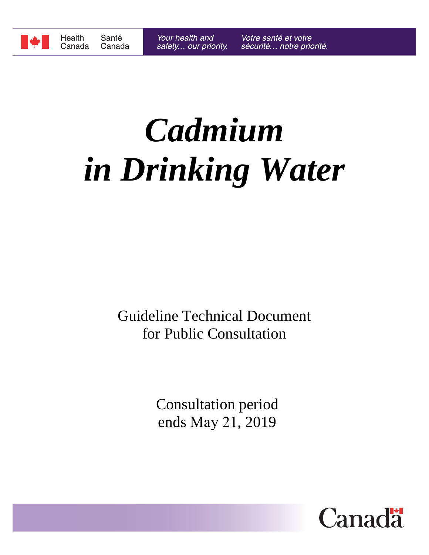

# *Cadmium in Drinking Water*

Guideline Technical Document for Public Consultation

> Consultation period ends May 21, 2019

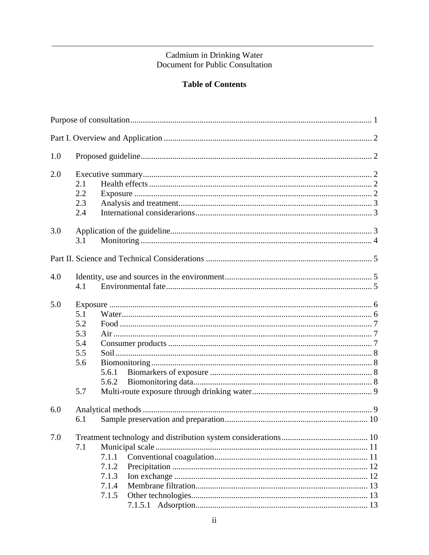# Cadmium in Drinking Water<br>Document for Public Consultation

#### **Table of Contents**

| 1.0 |     |       |  |  |  |  |  |  |
|-----|-----|-------|--|--|--|--|--|--|
| 2.0 |     |       |  |  |  |  |  |  |
|     | 2.1 |       |  |  |  |  |  |  |
|     | 2.2 |       |  |  |  |  |  |  |
|     | 2.3 |       |  |  |  |  |  |  |
|     | 2.4 |       |  |  |  |  |  |  |
| 3.0 |     |       |  |  |  |  |  |  |
|     | 3.1 |       |  |  |  |  |  |  |
|     |     |       |  |  |  |  |  |  |
| 4.0 |     |       |  |  |  |  |  |  |
|     | 4.1 |       |  |  |  |  |  |  |
| 5.0 |     |       |  |  |  |  |  |  |
|     | 5.1 |       |  |  |  |  |  |  |
|     | 5.2 |       |  |  |  |  |  |  |
|     | 5.3 |       |  |  |  |  |  |  |
|     | 5.4 |       |  |  |  |  |  |  |
|     | 5.5 |       |  |  |  |  |  |  |
|     | 5.6 |       |  |  |  |  |  |  |
|     |     | 5.6.1 |  |  |  |  |  |  |
|     |     | 5.6.2 |  |  |  |  |  |  |
|     | 5.7 |       |  |  |  |  |  |  |
| 6.0 |     |       |  |  |  |  |  |  |
|     | 6.1 |       |  |  |  |  |  |  |
| 7.0 |     |       |  |  |  |  |  |  |
|     | 7.1 |       |  |  |  |  |  |  |
|     |     | 7.1.1 |  |  |  |  |  |  |
|     |     | 7.1.2 |  |  |  |  |  |  |
|     |     | 7.1.3 |  |  |  |  |  |  |
|     |     | 7.1.4 |  |  |  |  |  |  |
|     |     | 7.1.5 |  |  |  |  |  |  |
|     |     |       |  |  |  |  |  |  |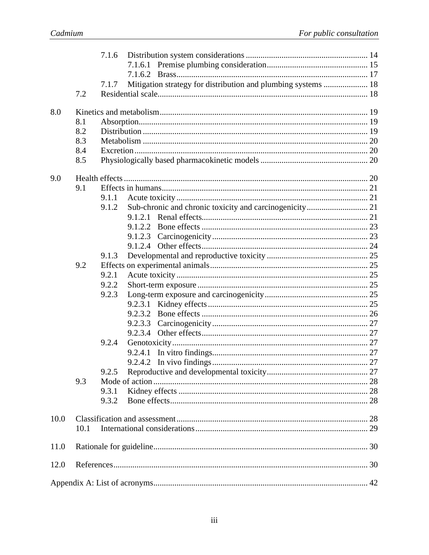|      |      | 7.1.6 |         |                                                               |  |
|------|------|-------|---------|---------------------------------------------------------------|--|
|      |      |       |         |                                                               |  |
|      |      |       |         |                                                               |  |
|      |      | 7.1.7 |         | Mitigation strategy for distribution and plumbing systems  18 |  |
|      | 7.2  |       |         |                                                               |  |
|      |      |       |         |                                                               |  |
| 8.0  |      |       |         |                                                               |  |
|      | 8.1  |       |         |                                                               |  |
|      | 8.2  |       |         |                                                               |  |
|      | 8.3  |       |         |                                                               |  |
|      | 8.4  |       |         |                                                               |  |
|      | 8.5  |       |         |                                                               |  |
|      |      |       |         |                                                               |  |
| 9.0  |      |       |         |                                                               |  |
|      | 9.1  |       |         |                                                               |  |
|      |      | 9.1.1 |         |                                                               |  |
|      |      | 9.1.2 |         |                                                               |  |
|      |      |       |         |                                                               |  |
|      |      |       |         |                                                               |  |
|      |      |       | 9.1.2.2 |                                                               |  |
|      |      |       |         |                                                               |  |
|      |      |       |         |                                                               |  |
|      |      | 9.1.3 |         |                                                               |  |
|      | 9.2  |       |         |                                                               |  |
|      |      | 9.2.1 |         |                                                               |  |
|      |      | 9.2.2 |         |                                                               |  |
|      |      | 9.2.3 |         |                                                               |  |
|      |      |       | 9.2.3.1 |                                                               |  |
|      |      |       | 9.2.3.2 |                                                               |  |
|      |      |       | 9.2.3.3 |                                                               |  |
|      |      |       |         |                                                               |  |
|      |      | 9.2.4 |         |                                                               |  |
|      |      |       | 9.2.4.1 |                                                               |  |
|      |      |       |         |                                                               |  |
|      |      | 9.2.5 |         |                                                               |  |
|      | 9.3  |       |         |                                                               |  |
|      |      | 9.3.1 |         |                                                               |  |
|      |      | 9.3.2 |         |                                                               |  |
|      |      |       |         |                                                               |  |
| 10.0 |      |       |         |                                                               |  |
|      | 10.1 |       |         |                                                               |  |
|      |      |       |         |                                                               |  |
| 11.0 |      |       |         |                                                               |  |
|      |      |       |         |                                                               |  |
| 12.0 |      |       |         |                                                               |  |
|      |      |       |         |                                                               |  |
|      |      |       |         |                                                               |  |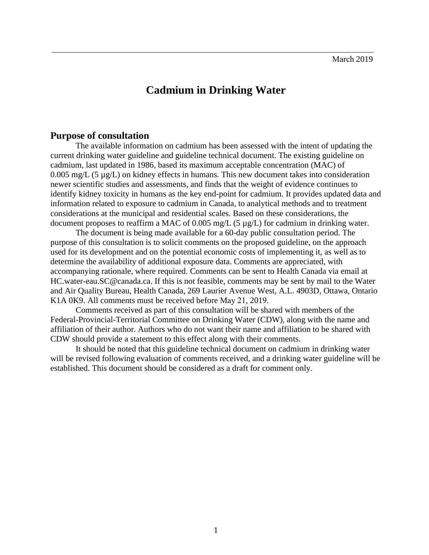## **Cadmium in Drinking Water**

#### <span id="page-3-0"></span>**Purpose of consultation**

The available information on cadmium has been assessed with the intent of updating the current drinking water guideline and guideline technical document. The existing guideline on cadmium, last updated in 1986, based its maximum acceptable concentration (MAC) of 0.005 mg/L (5  $\mu$ g/L) on kidney effects in humans. This new document takes into consideration newer scientific studies and assessments, and finds that the weight of evidence continues to identify kidney toxicity in humans as the key end-point for cadmium. It provides updated data and information related to exposure to cadmium in Canada, to analytical methods and to treatment considerations at the municipal and residential scales. Based on these considerations, the document proposes to reaffirm a MAC of 0.005 mg/L (5 µg/L) for cadmium in drinking water.

The document is being made available for a 60-day public consultation period. The purpose of this consultation is to solicit comments on the proposed guideline, on the approach used for its development and on the potential economic costs of implementing it, as well as to determine the availability of additional exposure data. Comments are appreciated, with accompanying rationale, where required. Comments can be sent to Health Canada via email at HC.water-eau.SC@canada.ca. If this is not feasible, comments may be sent by mail to the Water and Air Quality Bureau, Health Canada, 269 Laurier Avenue West, A.L. 4903D, Ottawa, Ontario K1A 0K9. All comments must be received before May 21, 2019.

Comments received as part of this consultation will be shared with members of the Federal-Provincial-Territorial Committee on Drinking Water (CDW), along with the name and affiliation of their author. Authors who do not want their name and affiliation to be shared with CDW should provide a statement to this effect along with their comments.

It should be noted that this guideline technical document on cadmium in drinking water will be revised following evaluation of comments received, and a drinking water guideline will be established. This document should be considered as a draft for comment only.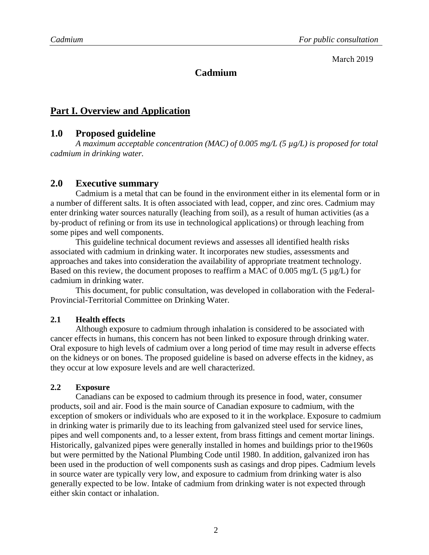#### March 2019

#### **Cadmium**

#### <span id="page-4-0"></span>**Part I. Overview and Application**

#### <span id="page-4-1"></span>**1.0 Proposed guideline**

*A maximum acceptable concentration (MAC) of 0.005 mg/L (5 µg/L) is proposed for total cadmium in drinking water.* 

#### <span id="page-4-2"></span>**2.0 Executive summary**

Cadmium is a metal that can be found in the environment either in its elemental form or in a number of different salts. It is often associated with lead, copper, and zinc ores. Cadmium may enter drinking water sources naturally (leaching from soil), as a result of human activities (as a by-product of refining or from its use in technological applications) or through leaching from some pipes and well components.

This guideline technical document reviews and assesses all identified health risks associated with cadmium in drinking water. It incorporates new studies, assessments and approaches and takes into consideration the availability of appropriate treatment technology. Based on this review, the document proposes to reaffirm a MAC of 0.005 mg/L (5 µg/L) for cadmium in drinking water.

This document, for public consultation, was developed in collaboration with the Federal-Provincial-Territorial Committee on Drinking Water.

#### <span id="page-4-3"></span>**2.1 Health effects**

Although exposure to cadmium through inhalation is considered to be associated with cancer effects in humans, this concern has not been linked to exposure through drinking water. Oral exposure to high levels of cadmium over a long period of time may result in adverse effects on the kidneys or on bones. The proposed guideline is based on adverse effects in the kidney, as they occur at low exposure levels and are well characterized.

#### <span id="page-4-4"></span>**2.2 Exposure**

Canadians can be exposed to cadmium through its presence in food, water, consumer products, soil and air. Food is the main source of Canadian exposure to cadmium, with the exception of smokers or individuals who are exposed to it in the workplace. Exposure to cadmium in drinking water is primarily due to its leaching from galvanized steel used for service lines, pipes and well components and, to a lesser extent, from brass fittings and cement mortar linings. Historically, galvanized pipes were generally installed in homes and buildings prior to the1960s but were permitted by the National Plumbing Code until 1980. In addition, galvanized iron has been used in the production of well components sush as casings and drop pipes. Cadmium levels in source water are typically very low, and exposure to cadmium from drinking water is also generally expected to be low. Intake of cadmium from drinking water is not expected through either skin contact or inhalation.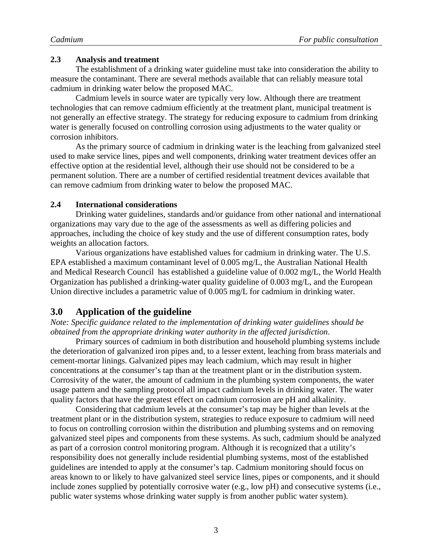#### <span id="page-5-0"></span>**2.3 Analysis and treatment**

The establishment of a drinking water guideline must take into consideration the ability to measure the contaminant. There are several methods available that can reliably measure total cadmium in drinking water below the proposed MAC.

 Cadmium levels in source water are typically very low. Although there are treatment technologies that can remove cadmium efficiently at the treatment plant, municipal treatment is not generally an effective strategy. The strategy for reducing exposure to cadmium from drinking water is generally focused on controlling corrosion using adjustments to the water quality or corrosion inhibitors.

 As the primary source of cadmium in drinking water is the leaching from galvanized steel used to make service lines, pipes and well components, drinking water treatment devices offer an effective option at the residential level, although their use should not be considered to be a permanent solution. There are a number of certified residential treatment devices available that can remove cadmium from drinking water to below the proposed MAC.

#### <span id="page-5-1"></span>**2.4 International considerations**

Drinking water guidelines, standards and/or guidance from other national and international organizations may vary due to the age of the assessments as well as differing policies and approaches, including the choice of key study and the use of different consumption rates, body weights an allocation factors.

Various organizations have established values for cadmium in drinking water. The U.S. EPA established a maximum contaminant level of 0.005 mg/L, the Australian National Health and Medical Research Council has established a guideline value of 0.002 mg/L, the World Health Organization has published a drinking-water quality guideline of 0.003 mg/L, and the European Union directive includes a parametric value of 0.005 mg/L for cadmium in drinking water.

#### <span id="page-5-2"></span>**3.0 Application of the guideline**

*Note: Specific guidance related to the implementation of drinking water guidelines should be obtained from the appropriate drinking water authority in the affected jurisdiction*.

Primary sources of cadmium in both distribution and household plumbing systems include the deterioration of galvanized iron pipes and, to a lesser extent, leaching from brass materials and cement-mortar linings. Galvanized pipes may leach cadmium, which may result in higher concentrations at the consumer's tap than at the treatment plant or in the distribution system. Corrosivity of the water, the amount of cadmium in the plumbing system components, the water usage pattern and the sampling protocol all impact cadmium levels in drinking water. The water quality factors that have the greatest effect on cadmium corrosion are pH and alkalinity.

Considering that cadmium levels at the consumer's tap may be higher than levels at the treatment plant or in the distribution system, strategies to reduce exposure to cadmium will need to focus on controlling corrosion within the distribution and plumbing systems and on removing galvanized steel pipes and components from these systems. As such, cadmium should be analyzed as part of a corrosion control monitoring program. Although it is recognized that a utility's responsibility does not generally include residential plumbing systems, most of the established guidelines are intended to apply at the consumer's tap. Cadmium monitoring should focus on areas known to or likely to have galvanized steel service lines, pipes or components, and it should include zones supplied by potentially corrosive water (e.g., low pH) and consecutive systems (i.e., public water systems whose drinking water supply is from another public water system).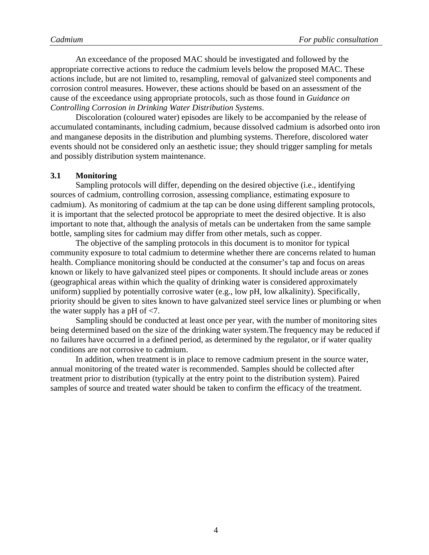An exceedance of the proposed MAC should be investigated and followed by the appropriate corrective actions to reduce the cadmium levels below the proposed MAC. These actions include, but are not limited to, resampling, removal of galvanized steel components and corrosion control measures. However, these actions should be based on an assessment of the cause of the exceedance using appropriate protocols, such as those found in *Guidance on Controlling Corrosion in Drinking Water Distribution Systems*.

Discoloration (coloured water) episodes are likely to be accompanied by the release of accumulated contaminants, including cadmium, because dissolved cadmium is adsorbed onto iron and manganese deposits in the distribution and plumbing systems. Therefore, discolored water events should not be considered only an aesthetic issue; they should trigger sampling for metals and possibly distribution system maintenance.

#### <span id="page-6-0"></span>**3.1 Monitoring**

Sampling protocols will differ, depending on the desired objective (i.e., identifying sources of cadmium, controlling corrosion, assessing compliance, estimating exposure to cadmium). As monitoring of cadmium at the tap can be done using different sampling protocols, it is important that the selected protocol be appropriate to meet the desired objective. It is also important to note that, although the analysis of metals can be undertaken from the same sample bottle, sampling sites for cadmium may differ from other metals, such as copper.

The objective of the sampling protocols in this document is to monitor for typical community exposure to total cadmium to determine whether there are concerns related to human health. Compliance monitoring should be conducted at the consumer's tap and focus on areas known or likely to have galvanized steel pipes or components. It should include areas or zones (geographical areas within which the quality of drinking water is considered approximately uniform) supplied by potentially corrosive water (e.g., low pH, low alkalinity). Specifically, priority should be given to sites known to have galvanized steel service lines or plumbing or when the water supply has a pH of <7.

Sampling should be conducted at least once per year, with the number of monitoring sites being determined based on the size of the drinking water system.The frequency may be reduced if no failures have occurred in a defined period, as determined by the regulator, or if water quality conditions are not corrosive to cadmium.

In addition, when treatment is in place to remove cadmium present in the source water, annual monitoring of the treated water is recommended. Samples should be collected after treatment prior to distribution (typically at the entry point to the distribution system). Paired samples of source and treated water should be taken to confirm the efficacy of the treatment.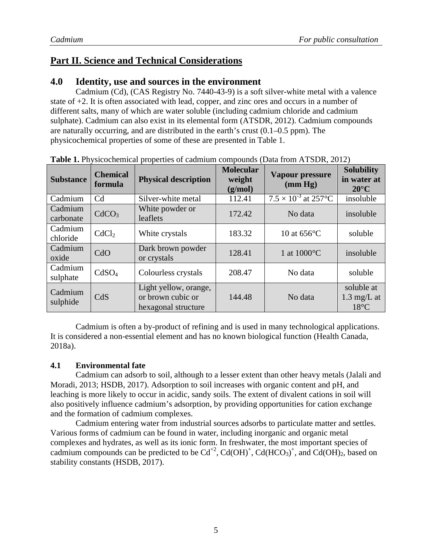### <span id="page-7-1"></span><span id="page-7-0"></span>**Part II. Science and Technical Considerations**

#### **4.0 Identity, use and sources in the environment**

Cadmium (Cd), (CAS Registry No. 7440-43-9) is a soft silver-white metal with a valence state of +2. It is often associated with lead, copper, and zinc ores and occurs in a number of different salts, many of which are water soluble (including cadmium chloride and cadmium sulphate). Cadmium can also exist in its elemental form (ATSDR, 2012). Cadmium compounds are naturally occurring, and are distributed in the earth's crust (0.1–0.5 ppm). The physicochemical properties of some of these are presented in Table 1.

| <b>Substance</b>     | <b>Chemical</b><br>formula | <b>Physical description</b>                                       | <b>Molecular</b><br>weight<br>(g/mol) | Vapour pressure<br>$(\text{mm Hg})$ | <b>Solubility</b><br>in water at<br>$20^{\circ}$ C    |
|----------------------|----------------------------|-------------------------------------------------------------------|---------------------------------------|-------------------------------------|-------------------------------------------------------|
| Cadmium              | C <sub>d</sub>             | Silver-white metal                                                | 112.41                                | $7.5 \times 10^{-3}$ at 257 °C      | insoluble                                             |
| Cadmium<br>carbonate | CdCO <sub>3</sub>          | White powder or<br>leaflets                                       | 172.42                                | No data                             | insoluble                                             |
| Cadmium<br>chloride  | CdCl <sub>2</sub>          | White crystals                                                    | 183.32                                | 10 at $656^{\circ}$ C               | soluble                                               |
| Cadmium<br>oxide     | CdO                        | Dark brown powder<br>or crystals                                  | 128.41                                | 1 at 1000°C                         | insoluble                                             |
| Cadmium<br>sulphate  | CdSO <sub>4</sub>          | Colourless crystals                                               | 208.47                                | No data                             | soluble                                               |
| Cadmium<br>sulphide  | CdS                        | Light yellow, orange,<br>or brown cubic or<br>hexagonal structure | 144.48                                | No data                             | soluble at<br>$1.3 \text{ mg/L}$ at<br>$18^{\circ}$ C |

**Table 1.** Physicochemical properties of cadmium compounds (Data from ATSDR, 2012)

Cadmium is often a by-product of refining and is used in many technological applications. It is considered a non-essential element and has no known biological function (Health Canada, 2018a).

#### <span id="page-7-2"></span>**4.1 Environmental fate**

Cadmium can adsorb to soil, although to a lesser extent than other heavy metals (Jalali and Moradi, 2013; HSDB, 2017). Adsorption to soil increases with organic content and pH, and leaching is more likely to occur in acidic, sandy soils. The extent of divalent cations in soil will also positively influence cadmium's adsorption, by providing opportunities for cation exchange and the formation of cadmium complexes.

Cadmium entering water from industrial sources adsorbs to particulate matter and settles. Various forms of cadmium can be found in water, including inorganic and organic metal complexes and hydrates, as well as its ionic form. In freshwater, the most important species of cadmium compounds can be predicted to be  $Cd^{+2}$ ,  $Cd(OH)^{+}$ ,  $Cd(HCO<sub>3</sub>)^{+}$ , and  $Cd(OH)<sub>2</sub>$ , based on stability constants (HSDB, 2017).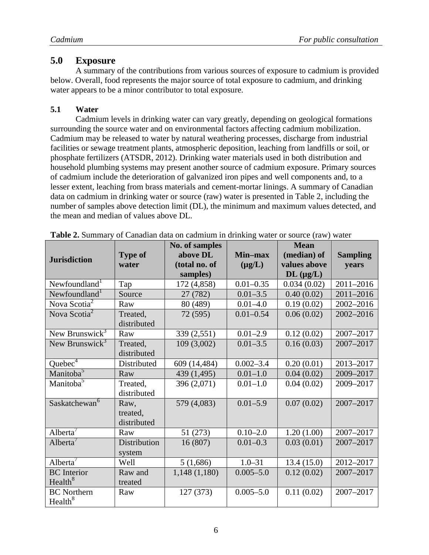#### <span id="page-8-0"></span>**5.0 Exposure**

A summary of the contributions from various sources of exposure to cadmium is provided below. Overall, food represents the major source of total exposure to cadmium, and drinking water appears to be a minor contributor to total exposure.

#### <span id="page-8-1"></span>**5.1 Water**

Cadmium levels in drinking water can vary greatly, depending on geological formations surrounding the source water and on environmental factors affecting cadmium mobilization. Cadmium may be released to water by natural weathering processes, discharge from industrial facilities or sewage treatment plants, atmospheric deposition, leaching from landfills or soil, or phosphate fertilizers (ATSDR, 2012). Drinking water materials used in both distribution and household plumbing systems may present another source of cadmium exposure. Primary sources of cadmium include the deterioration of galvanized iron pipes and well components and, to a lesser extent, leaching from brass materials and cement-mortar linings. A summary of Canadian data on cadmium in drinking water or source (raw) water is presented in Table 2, including the number of samples above detection limit (DL), the minimum and maximum values detected, and the mean and median of values above DL.

|                                    |                         | No. of samples<br>above DL | Min-max       | <b>Mean</b>                 |                          |
|------------------------------------|-------------------------|----------------------------|---------------|-----------------------------|--------------------------|
| <b>Jurisdiction</b>                | <b>Type of</b><br>water | (total no. of              | $(\mu g/L)$   | (median) of<br>values above | <b>Sampling</b><br>years |
|                                    |                         | samples)                   |               | $DL$ ( $\mu$ g/L)           |                          |
| Newfoundland <sup>1</sup>          | Tap                     | 172 (4,858)                | $0.01 - 0.35$ | 0.034(0.02)                 | 2011-2016                |
| Newfoundland <sup>1</sup>          | Source                  | 27 (782)                   | $0.01 - 3.5$  | 0.40(0.02)                  | 2011-2016                |
| Nova Scotia <sup>2</sup>           | Raw                     | 80 (489)                   | $0.01 - 4.0$  | 0.19(0.02)                  | 2002-2016                |
| Nova Scotia <sup>2</sup>           | Treated,                | 72 (595)                   | $0.01 - 0.54$ | 0.06(0.02)                  | 2002-2016                |
|                                    | distributed             |                            |               |                             |                          |
| New Brunswick <sup>3</sup>         | Raw                     | 339 (2,551)                | $0.01 - 2.9$  | 0.12(0.02)                  | 2007-2017                |
| New Brunswick <sup>3</sup>         | Treated,                | 109(3,002)                 | $0.01 - 3.5$  | 0.16(0.03)                  | 2007-2017                |
|                                    | distributed             |                            |               |                             |                          |
| Quebec $\overline{c}$ <sup>4</sup> | Distributed             | 609 (14,484)               | $0.002 - 3.4$ | 0.20(0.01)                  | 2013-2017                |
| Manitoba <sup>5</sup>              | Raw                     | 439 (1,495)                | $0.01 - 1.0$  | 0.04(0.02)                  | 2009-2017                |
| Manitoba <sup>5</sup>              | Treated,                | 396 (2,071)                | $0.01 - 1.0$  | 0.04(0.02)                  | 2009-2017                |
|                                    | distributed             |                            |               |                             |                          |
| Saskatchewan <sup>6</sup>          | Raw,                    | 579 (4,083)                | $0.01 - 5.9$  | 0.07(0.02)                  | 2007-2017                |
|                                    | treated,                |                            |               |                             |                          |
|                                    | distributed             |                            |               |                             |                          |
| Alberta <sup>'</sup>               | Raw                     | 51 (273)                   | $0.10 - 2.0$  | 1.20(1.00)                  | 2007-2017                |
| Alberta <sup>'</sup>               | Distribution            | 16(807)                    | $0.01 - 0.3$  | 0.03(0.01)                  | 2007-2017                |
|                                    | system                  |                            |               |                             |                          |
| Alberta $'$                        | Well                    | 5(1,686)                   | $1.0 - 31$    | 13.4(15.0)                  | 2012-2017                |
| <b>BC</b> Interior                 | Raw and                 | 1,148(1,180)               | $0.005 - 5.0$ | 0.12(0.02)                  | 2007-2017                |
| Health <sup>8</sup>                | treated                 |                            |               |                             |                          |
| <b>BC</b> Northern                 | Raw                     | 127 (373)                  | $0.005 - 5.0$ | 0.11(0.02)                  | 2007-2017                |
| Health <sup>8</sup>                |                         |                            |               |                             |                          |

|  |  |  |  | Table 2. Summary of Canadian data on cadmium in drinking water or source (raw) water |
|--|--|--|--|--------------------------------------------------------------------------------------|
|--|--|--|--|--------------------------------------------------------------------------------------|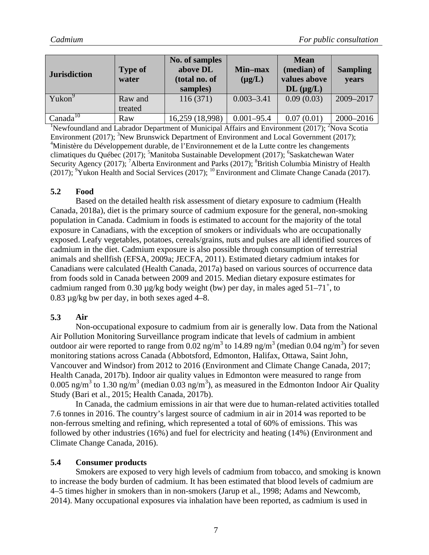| <b>Jurisdiction</b>  | <b>Type of</b><br>water | No. of samples<br>above DL<br>(total no. of<br>samples) | <b>Min-max</b><br>$(\mu g/L)$ | <b>Mean</b><br>(median) of<br>values above<br>$DL$ ( $\mu$ g/L) | <b>Sampling</b><br>years |
|----------------------|-------------------------|---------------------------------------------------------|-------------------------------|-----------------------------------------------------------------|--------------------------|
| Yukon <sup>9</sup>   | Raw and<br>treated      | 116(371)                                                | $0.003 - 3.41$                | 0.09(0.03)                                                      | 2009-2017                |
| Canada <sup>10</sup> | Raw                     | 16,259 (18,998)                                         | $0.001 - 95.4$                | 0.07(0.01)                                                      | 2000-2016                |

<sup>1</sup>Newfoundland and Labrador Department of Municipal Affairs and Environment (2017); <sup>2</sup>Nova Scotia Environment (2017); <sup>3</sup>New Brunswick Department of Environment and Local Government (2017); <sup>4</sup>Ministère du Développement durable, de l'Environnement et de la Lutte contre les changements climatiques du Québec (2017); <sup>5</sup>Manitoba Sustainable Development (2017); <sup>6</sup>Saskatchewan Water Security Agency (2017); <sup>7</sup> Alberta Environment and Parks (2017); <sup>8</sup> British Columbia Ministry of Health (2017); <sup>9</sup>Yukon Health and Social Services (2017); <sup>10</sup> Environment and Climate Change Canada (2017).

#### <span id="page-9-0"></span>**5.2 Food**

Based on the detailed health risk assessment of dietary exposure to cadmium (Health Canada, 2018a), diet is the primary source of cadmium exposure for the general, non-smoking population in Canada. Cadmium in foods is estimated to account for the majority of the total exposure in Canadians, with the exception of smokers or individuals who are occupationally exposed. Leafy vegetables, potatoes, cereals/grains, nuts and pulses are all identified sources of cadmium in the diet. Cadmium exposure is also possible through consumption of terrestrial animals and shellfish (EFSA, 2009a; JECFA, 2011). Estimated dietary cadmium intakes for Canadians were calculated (Health Canada, 2017a) based on various sources of occurrence data from foods sold in Canada between 2009 and 2015. Median dietary exposure estimates for cadmium ranged from 0.30  $\mu$ g/kg body weight (bw) per day, in males aged 51–71<sup>+</sup>, to 0.83 µg/kg bw per day, in both sexes aged 4–8.

#### <span id="page-9-1"></span>**5.3 Air**

Non-occupational exposure to cadmium from air is generally low. Data from the National Air Pollution Monitoring Surveillance program indicate that levels of cadmium in ambient outdoor air were reported to range from 0.02 ng/m<sup>3</sup> to 14.89 ng/m<sup>3</sup> (median 0.04 ng/m<sup>3</sup>) for seven monitoring stations across Canada (Abbotsford, Edmonton, Halifax, Ottawa, Saint John, Vancouver and Windsor) from 2012 to 2016 (Environment and Climate Change Canada, 2017; Health Canada, 2017b). Indoor air quality values in Edmonton were measured to range from 0.005 ng/m<sup>3</sup> to 1.30 ng/m<sup>3</sup> (median 0.03 ng/m<sup>3</sup>), as measured in the Edmonton Indoor Air Quality Study (Bari et al., 2015; Health Canada, 2017b).

In Canada, the cadmium emissions in air that were due to human-related activities totalled 7.6 tonnes in 2016. The country's largest source of cadmium in air in 2014 was reported to be non-ferrous smelting and refining, which represented a total of 60% of emissions. This was followed by other industries (16%) and fuel for electricity and heating (14%) (Environment and Climate Change Canada, 2016).

#### <span id="page-9-2"></span>**5.4 Consumer products**

Smokers are exposed to very high levels of cadmium from tobacco, and smoking is known to increase the body burden of cadmium. It has been estimated that blood levels of cadmium are 4–5 times higher in smokers than in non-smokers (Jarup et al., 1998; Adams and Newcomb, 2014). Many occupational exposures via inhalation have been reported, as cadmium is used in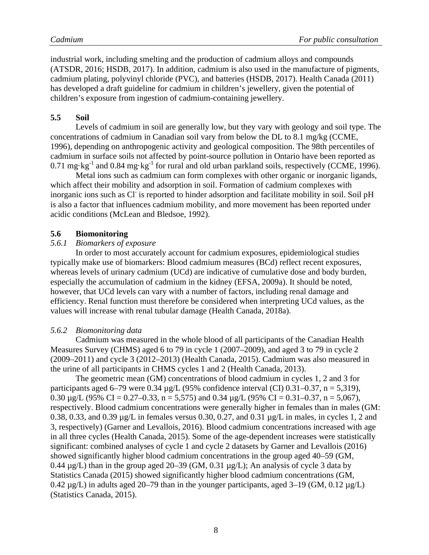industrial work, including smelting and the production of cadmium alloys and compounds (ATSDR, 2016; HSDB, 2017). In addition, cadmium is also used in the manufacture of pigments, cadmium plating, polyvinyl chloride (PVC), and batteries (HSDB, 2017). Health Canada (2011) has developed a draft guideline for cadmium in children's jewellery, given the potential of children's exposure from ingestion of cadmium-containing jewellery.

#### <span id="page-10-0"></span>**5.5 Soil**

Levels of cadmium in soil are generally low, but they vary with geology and soil type. The concentrations of cadmium in Canadian soil vary from below the DL to 8.1 mg/kg (CCME, 1996), depending on anthropogenic activity and geological composition. The 98th percentiles of cadmium in surface soils not affected by point-source pollution in Ontario have been reported as 0.71 mg·kg<sup>-1</sup> and 0.84 mg·kg<sup>-1</sup> for rural and old urban parkland soils, respectively (CCME, 1996).

Metal ions such as cadmium can form complexes with other organic or inorganic ligands, which affect their mobility and adsorption in soil. Formation of cadmium complexes with inorganic ions such as CI is reported to hinder adsorption and facilitate mobility in soil. Soil pH is also a factor that influences cadmium mobility, and more movement has been reported under acidic conditions (McLean and Bledsoe, 1992).

#### <span id="page-10-1"></span>**5.6 Biomonitoring**

#### <span id="page-10-2"></span>*5.6.1 Biomarkers of exposure*

In order to most accurately account for cadmium exposures, epidemiological studies typically make use of biomarkers: Blood cadmium measures (BCd) reflect recent exposures, whereas levels of urinary cadmium (UCd) are indicative of cumulative dose and body burden, especially the accumulation of cadmium in the kidney (EFSA, 2009a). It should be noted, however, that UCd levels can vary with a number of factors, including renal damage and efficiency. Renal function must therefore be considered when interpreting UCd values, as the values will increase with renal tubular damage (Health Canada, 2018a).

#### <span id="page-10-3"></span>*5.6.2 Biomonitoring data*

Cadmium was measured in the whole blood of all participants of the Canadian Health Measures Survey (CHMS) aged 6 to 79 in cycle 1 (2007–2009), and aged 3 to 79 in cycle 2 (2009–2011) and cycle 3 (2012–2013) (Health Canada, 2015). Cadmium was also measured in the urine of all participants in CHMS cycles 1 and 2 (Health Canada, 2013).

The geometric mean (GM) concentrations of blood cadmium in cycles 1, 2 and 3 for participants aged 6–79 were 0.34  $\mu$ g/L (95% confidence interval (CI) 0.31–0.37, n = 5.319). 0.30  $\mu$ g/L (95% CI = 0.27–0.33, n = 5,575) and 0.34  $\mu$ g/L (95% CI = 0.31–0.37, n = 5,067), respectively. Blood cadmium concentrations were generally higher in females than in males (GM: 0.38, 0.33, and 0.39 µg/L in females versus 0.30, 0.27, and 0.31 µg/L in males, in cycles 1, 2 and 3, respectively) (Garner and Levallois, 2016). Blood cadmium concentrations increased with age in all three cycles (Health Canada, 2015). Some of the age-dependent increases were statistically significant: combined analyses of cycle 1 and cycle 2 datasets by Garner and Levallois (2016) showed significantly higher blood cadmium concentrations in the group aged 40–59 (GM, 0.44  $\mu$ g/L) than in the group aged 20–39 (GM, 0.31  $\mu$ g/L); An analysis of cycle 3 data by Statistics Canada (2015) showed significantly higher blood cadmium concentrations (GM, 0.42  $\mu$ g/L) in adults aged 20–79 than in the younger participants, aged 3–19 (GM, 0.12  $\mu$ g/L) (Statistics Canada, 2015).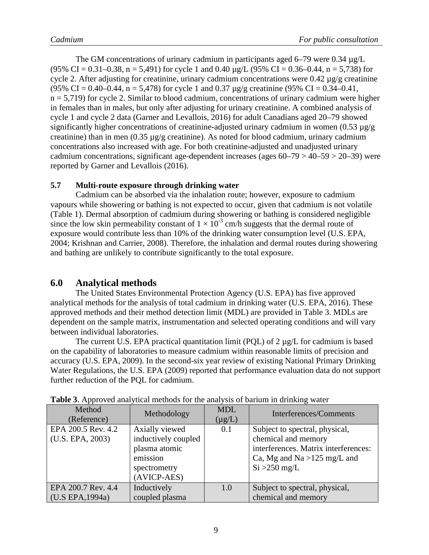The GM concentrations of urinary cadmium in participants aged 6–79 were  $0.34 \mu g/L$ (95% CI = 0.31–0.38, n = 5,491) for cycle 1 and 0.40  $\mu$ g/L (95% CI = 0.36–0.44, n = 5,738) for cycle 2. After adjusting for creatinine, urinary cadmium concentrations were  $0.42 \mu$ g/g creatinine (95% CI = 0.40–0.44, n = 5,478) for cycle 1 and 0.37  $\mu$ g/g creatinine (95% CI = 0.34–0.41,  $n = 5,719$ ) for cycle 2. Similar to blood cadmium, concentrations of urinary cadmium were higher in females than in males, but only after adjusting for urinary creatinine. A combined analysis of cycle 1 and cycle 2 data (Garner and Levallois, 2016) for adult Canadians aged 20–79 showed significantly higher concentrations of creatinine-adjusted urinary cadmium in women  $(0.53 \mu g/g)$ creatinine) than in men (0.35 µg/g creatinine). As noted for blood cadmium, urinary cadmium concentrations also increased with age. For both creatinine-adjusted and unadjusted urinary cadmium concentrations, significant age-dependent increases (ages 60–79 > 40–59 > 20–39) were reported by Garner and Levallois (2016).

#### <span id="page-11-0"></span>**5.7 Multi-route exposure through drinking water**

Cadmium can be absorbed via the inhalation route; however, exposure to cadmium vapours while showering or bathing is not expected to occur, given that cadmium is not volatile (Table 1). Dermal absorption of cadmium during showering or bathing is considered negligible since the low skin permeability constant of  $1 \times 10^{-3}$  cm/h suggests that the dermal route of exposure would contribute less than 10% of the drinking water consumption level (U.S. EPA, 2004; Krishnan and Carrier, 2008). Therefore, the inhalation and dermal routes during showering and bathing are unlikely to contribute significantly to the total exposure.

#### <span id="page-11-1"></span>**6.0 Analytical methods**

The United States Environmental Protection Agency (U.S. EPA) has five approved analytical methods for the analysis of total cadmium in drinking water (U.S. EPA, 2016). These approved methods and their method detection limit (MDL) are provided in Table 3. MDLs are dependent on the sample matrix, instrumentation and selected operating conditions and will vary between individual laboratories.

The current U.S. EPA practical quantitation limit (POL) of  $2 \mu g/L$  for cadmium is based on the capability of laboratories to measure cadmium within reasonable limits of precision and accuracy (U.S. EPA, 2009). In the second-six year review of existing National Primary Drinking Water Regulations, the U.S. EPA (2009) reported that performance evaluation data do not support further reduction of the PQL for cadmium.

| Method<br>(Reference)                  | Methodology                                                                                       | <b>MDL</b><br>$(\mu g/L)$ | Interferences/Comments                                                                                                                            |
|----------------------------------------|---------------------------------------------------------------------------------------------------|---------------------------|---------------------------------------------------------------------------------------------------------------------------------------------------|
| EPA 200.5 Rev. 4.2<br>(U.S. EPA, 2003) | Axially viewed<br>inductively coupled<br>plasma atomic<br>emission<br>spectrometry<br>(AVICP-AES) | 0.1                       | Subject to spectral, physical,<br>chemical and memory<br>interferences. Matrix interferences:<br>Ca, Mg and Na $>125$ mg/L and<br>$Si > 250$ mg/L |
| EPA 200.7 Rev. 4.4<br>(U.S EPA, 1994a) | Inductively<br>coupled plasma                                                                     | 1.0                       | Subject to spectral, physical,<br>chemical and memory                                                                                             |

**Table 3**. Approved analytical methods for the analysis of barium in drinking water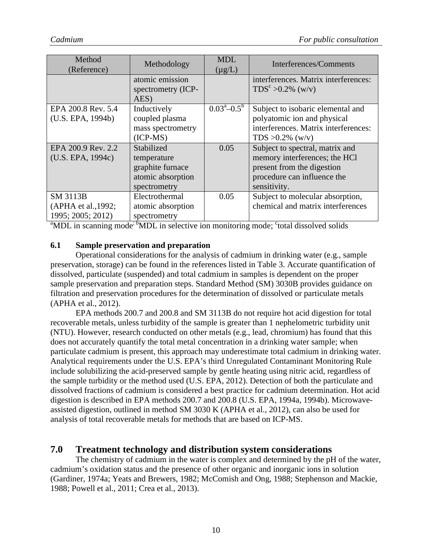| Method<br>(Reference) | Methodology        | <b>MDL</b><br>$(\mu g/L)$    | Interferences/Comments               |
|-----------------------|--------------------|------------------------------|--------------------------------------|
|                       | atomic emission    |                              | interferences. Matrix interferences: |
|                       | spectrometry (ICP- |                              | $TDS^{c} > 0.2\%$ (w/v)              |
|                       | AES)               |                              |                                      |
| EPA 200.8 Rev. 5.4    | Inductively        | $0.03^{\rm a} - 0.5^{\rm b}$ | Subject to isobaric elemental and    |
| (U.S. EPA, 1994b)     | coupled plasma     |                              | polyatomic ion and physical          |
|                       | mass spectrometry  |                              | interferences. Matrix interferences: |
|                       | $(ICP-MS)$         |                              | TDS $>0.2\%$ (w/v)                   |
| EPA 200.9 Rev. 2.2    | Stabilized         | 0.05                         | Subject to spectral, matrix and      |
| (U.S. EPA, 1994c)     | temperature        |                              | memory interferences; the HCl        |
|                       | graphite furnace   |                              | present from the digestion           |
|                       | atomic absorption  |                              | procedure can influence the          |
|                       | spectrometry       |                              | sensitivity.                         |
| <b>SM 3113B</b>       | Electrothermal     | 0.05                         | Subject to molecular absorption,     |
| (APHA et al., 1992;   | atomic absorption  |                              | chemical and matrix interferences    |
| 1995; 2005; 2012)     | spectrometry       |                              |                                      |

<sup>a</sup>MDL in scanning mode<sup>; b</sup>MDL in selective ion monitoring mode; <sup>c</sup>total dissolved solids

#### <span id="page-12-0"></span>**6.1 Sample preservation and preparation**

Operational considerations for the analysis of cadmium in drinking water (e.g., sample preservation, storage) can be found in the references listed in Table 3. Accurate quantification of dissolved, particulate (suspended) and total cadmium in samples is dependent on the proper sample preservation and preparation steps. Standard Method (SM) 3030B provides guidance on filtration and preservation procedures for the determination of dissolved or particulate metals (APHA et al., 2012).

EPA methods 200.7 and 200.8 and SM 3113B do not require hot acid digestion for total recoverable metals, unless turbidity of the sample is greater than 1 nephelometric turbidity unit (NTU). However, research conducted on other metals (e.g., lead, chromium) has found that this does not accurately quantify the total metal concentration in a drinking water sample; when particulate cadmium is present, this approach may underestimate total cadmium in drinking water. Analytical requirements under the U.S. EPA's third Unregulated Contaminant Monitoring Rule include solubilizing the acid-preserved sample by gentle heating using nitric acid, regardless of the sample turbidity or the method used (U.S. EPA, 2012). Detection of both the particulate and dissolved fractions of cadmium is considered a best practice for cadmium determination. Hot acid digestion is described in EPA methods 200.7 and 200.8 (U.S. EPA, 1994a, 1994b). Microwaveassisted digestion, outlined in method SM 3030 K (APHA et al., 2012), can also be used for analysis of total recoverable metals for methods that are based on ICP-MS.

#### <span id="page-12-1"></span>**7.0 Treatment technology and distribution system considerations**

The chemistry of cadmium in the water is complex and determined by the pH of the water, cadmium's oxidation status and the presence of other organic and inorganic ions in solution (Gardiner, 1974a; Yeats and Brewers, 1982; McComish and Ong, 1988; Stephenson and Mackie, 1988; Powell et al., 2011; Crea et al., 2013).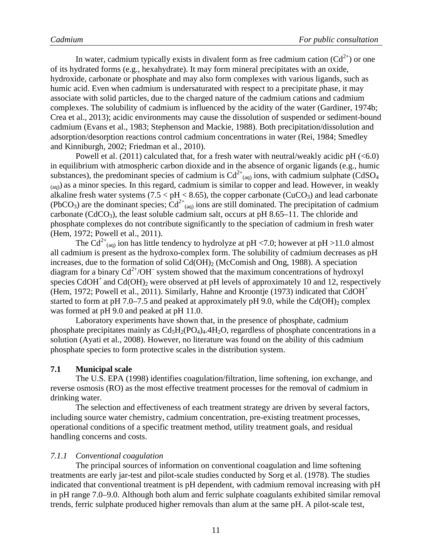In water, cadmium typically exists in divalent form as free cadmium cation  $(Cd^{2+})$  or one of its hydrated forms (e.g., hexahydrate). It may form mineral precipitates with an oxide, hydroxide, carbonate or phosphate and may also form complexes with various ligands, such as humic acid. Even when cadmium is undersaturated with respect to a precipitate phase, it may associate with solid particles, due to the charged nature of the cadmium cations and cadmium complexes. The solubility of cadmium is influenced by the acidity of the water (Gardiner, 1974b; Crea et al., 2013); acidic environments may cause the dissolution of suspended or sediment-bound cadmium (Evans et al., 1983; Stephenson and Mackie, 1988). Both precipitation/dissolution and adsorption/desorption reactions control cadmium concentrations in water (Rei, 1984; Smedley and Kinniburgh, 2002; Friedman et al., 2010).

Powell et al. (2011) calculated that, for a fresh water with neutral/weakly acidic  $pH \left( \leq 6.0 \right)$ in equilibrium with atmospheric carbon dioxide and in the absence of organic ligands (e.g., humic substances), the predominant species of cadmium is  $Cd^{2+}$ <sub>(aq)</sub> ions, with cadmium sulphate (CdSO<sub>4</sub>)  $(a<sub>(aa)</sub>)$  as a minor species. In this regard, cadmium is similar to copper and lead. However, in weakly alkaline fresh water systems (7.5  $<$  pH  $<$  8.65), the copper carbonate (CuCO<sub>3</sub>) and lead carbonate (PbCO<sub>3</sub>) are the dominant species;  $Cd^{2+}$ <sub>(aq)</sub> ions are still dominated. The precipitation of cadmium carbonate ( $CdCO<sub>3</sub>$ ), the least soluble cadmium salt, occurs at pH 8.65–11. The chloride and phosphate complexes do not contribute significantly to the speciation of cadmium in fresh water (Hem, 1972; Powell et al., 2011).

The Cd<sup>2+</sup><sub>(aq)</sub> ion has little tendency to hydrolyze at pH <7.0; however at pH >11.0 almost all cadmium is present as the hydroxo-complex form. The solubility of cadmium decreases as pH increases, due to the formation of solid  $Cd(OH)_2$  (McComish and Ong, 1988). A speciation diagram for a binary  $Cd^{2+}/OH^-$  system showed that the maximum concentrations of hydroxyl species  $CdOH<sup>+</sup>$  and  $Cd(OH)_{2}$  were observed at pH levels of approximately 10 and 12, respectively (Hem, 1972; Powell et al., 2011). Similarly, Hahne and Kroontje (1973) indicated that CdOH+ started to form at pH 7.0–7.5 and peaked at approximately pH 9.0, while the Cd(OH)<sub>2</sub> complex was formed at pH 9.0 and peaked at pH 11.0.

Laboratory experiments have shown that, in the presence of phosphate, cadmium phosphate precipitates mainly as  $Cd<sub>5</sub>H<sub>2</sub>(PO<sub>4</sub>)<sub>4</sub>$ .4H<sub>2</sub>O, regardless of phosphate concentrations in a solution (Ayati et al., 2008). However, no literature was found on the ability of this cadmium phosphate species to form protective scales in the distribution system.

#### <span id="page-13-0"></span>**7.1 Municipal scale**

The U.S. EPA (1998) identifies coagulation/filtration, lime softening, ion exchange, and reverse osmosis (RO) as the most effective treatment processes for the removal of cadmium in drinking water.

The selection and effectiveness of each treatment strategy are driven by several factors, including source water chemistry, cadmium concentration, pre-existing treatment processes, operational conditions of a specific treatment method, utility treatment goals, and residual handling concerns and costs.

#### <span id="page-13-1"></span>*7.1.1 Conventional coagulation*

The principal sources of information on conventional coagulation and lime softening treatments are early jar-test and pilot-scale studies conducted by Sorg et al. (1978). The studies indicated that conventional treatment is pH dependent, with cadmium removal increasing with pH in pH range 7.0–9.0. Although both alum and ferric sulphate coagulants exhibited similar removal trends, ferric sulphate produced higher removals than alum at the same pH. A pilot-scale test,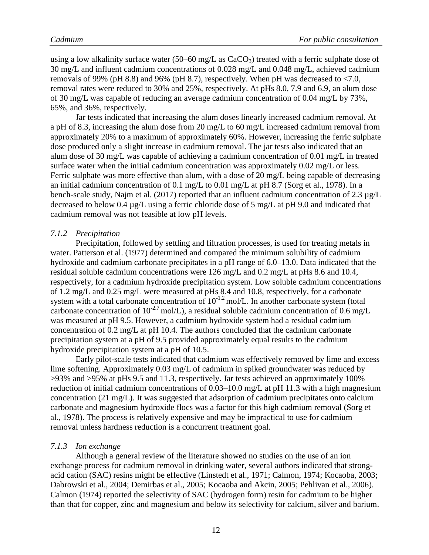using a low alkalinity surface water (50–60 mg/L as  $CaCO<sub>3</sub>$ ) treated with a ferric sulphate dose of 30 mg/L and influent cadmium concentrations of 0.028 mg/L and 0.048 mg/L, achieved cadmium removals of 99% (pH 8.8) and 96% (pH 8.7), respectively. When pH was decreased to  $\langle 7.0, 10.0 \rangle$ removal rates were reduced to 30% and 25%, respectively. At pHs 8.0, 7.9 and 6.9, an alum dose of 30 mg/L was capable of reducing an average cadmium concentration of 0.04 mg/L by 73%, 65%, and 36%, respectively.

Jar tests indicated that increasing the alum doses linearly increased cadmium removal. At a pH of 8.3, increasing the alum dose from 20 mg/L to 60 mg/L increased cadmium removal from approximately 20% to a maximum of approximately 60%. However, increasing the ferric sulphate dose produced only a slight increase in cadmium removal. The jar tests also indicated that an alum dose of 30 mg/L was capable of achieving a cadmium concentration of 0.01 mg/L in treated surface water when the initial cadmium concentration was approximately 0.02 mg/L or less. Ferric sulphate was more effective than alum, with a dose of 20 mg/L being capable of decreasing an initial cadmium concentration of 0.1 mg/L to 0.01 mg/L at pH 8.7 (Sorg et al., 1978). In a bench-scale study, Najm et al. (2017) reported that an influent cadmium concentration of 2.3  $\mu$ g/L decreased to below 0.4 µg/L using a ferric chloride dose of 5 mg/L at pH 9.0 and indicated that cadmium removal was not feasible at low pH levels.

#### <span id="page-14-0"></span>*7.1.2 Precipitation*

Precipitation, followed by settling and filtration processes, is used for treating metals in water. Patterson et al. (1977) determined and compared the minimum solubility of cadmium hydroxide and cadmium carbonate precipitates in a pH range of 6.0–13.0. Data indicated that the residual soluble cadmium concentrations were 126 mg/L and 0.2 mg/L at pHs 8.6 and 10.4, respectively, for a cadmium hydroxide precipitation system. Low soluble cadmium concentrations of 1.2 mg/L and 0.25 mg/L were measured at pHs 8.4 and 10.8, respectively, for a carbonate system with a total carbonate concentration of  $10^{-1.2}$  mol/L. In another carbonate system (total carbonate concentration of  $10^{-2.7}$  mol/L), a residual soluble cadmium concentration of 0.6 mg/L was measured at pH 9.5. However, a cadmium hydroxide system had a residual cadmium concentration of 0.2 mg/L at pH 10.4. The authors concluded that the cadmium carbonate precipitation system at a pH of 9.5 provided approximately equal results to the cadmium hydroxide precipitation system at a pH of 10.5.

Early pilot-scale tests indicated that cadmium was effectively removed by lime and excess lime softening. Approximately 0.03 mg/L of cadmium in spiked groundwater was reduced by >93% and >95% at pHs 9.5 and 11.3, respectively. Jar tests achieved an approximately 100% reduction of initial cadmium concentrations of 0.03–10.0 mg/L at pH 11.3 with a high magnesium concentration (21 mg/L). It was suggested that adsorption of cadmium precipitates onto calcium carbonate and magnesium hydroxide flocs was a factor for this high cadmium removal (Sorg et al., 1978). The process is relatively expensive and may be impractical to use for cadmium removal unless hardness reduction is a concurrent treatment goal.

#### <span id="page-14-1"></span>*7.1.3 Ion exchange*

Although a general review of the literature showed no studies on the use of an ion exchange process for cadmium removal in drinking water, several authors indicated that strongacid cation (SAC) resins might be effective (Linstedt et al., 1971; Calmon, 1974; Kocaoba, 2003; Dabrowski et al., 2004; Demirbas et al., 2005; Kocaoba and Akcin, 2005; Pehlivan et al., 2006). Calmon (1974) reported the selectivity of SAC (hydrogen form) resin for cadmium to be higher than that for copper, zinc and magnesium and below its selectivity for calcium, silver and barium.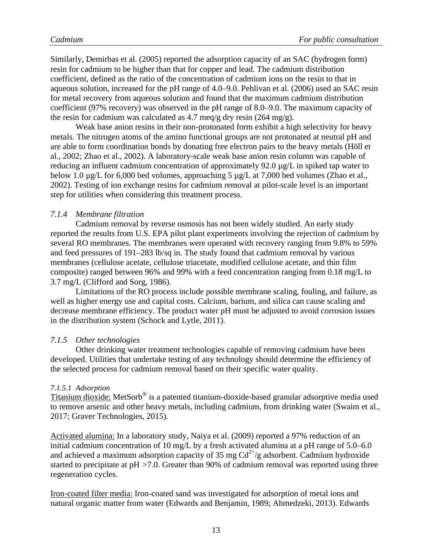Similarly, Demirbas et al. (2005) reported the adsorption capacity of an SAC (hydrogen form) resin for cadmium to be higher than that for copper and lead. The cadmium distribution coefficient, defined as the ratio of the concentration of cadmium ions on the resin to that in aqueous solution, increased for the pH range of 4.0–9.0. Pehlivan et al. (2006) used an SAC resin for metal recovery from aqueous solution and found that the maximum cadmium distribution coefficient (97% recovery) was observed in the pH range of 8.0–9.0. The maximum capacity of the resin for cadmium was calculated as 4.7 meq/g dry resin (264 mg/g).

Weak base anion resins in their non-protonated form exhibit a high selectivity for heavy metals. The nitrogen atoms of the amino functional groups are not protonated at neutral pH and are able to form coordination bonds by donating free electron pairs to the heavy metals (Höll et al., 2002; Zhao et al., 2002). A laboratory-scale weak base anion resin column was capable of reducing an influent cadmium concentration of approximately 92.0 µg/L in spiked tap water to below 1.0 µg/L for 6,000 bed volumes, approaching 5 µg/L at 7,000 bed volumes (Zhao et al., 2002). Testing of ion exchange resins for cadmium removal at pilot-scale level is an important step for utilities when considering this treatment process.

#### <span id="page-15-0"></span>*7.1.4 Membrane filtration*

Cadmium removal by reverse osmosis has not been widely studied. An early study reported the results from U.S. EPA pilot plant experiments involving the rejection of cadmium by several RO membranes. The membranes were operated with recovery ranging from 9.8% to 59% and feed pressures of 191–283 lb/sq in. The study found that cadmium removal by various membranes (cellulose acetate, cellulose triacetate, modified cellulose acetate, and thin film composite) ranged between 96% and 99% with a feed concentration ranging from 0.18 mg/L to 3.7 mg/L (Clifford and Sorg, 1986).

Limitations of the RO process include possible membrane scaling, fouling, and failure, as well as higher energy use and capital costs. Calcium, barium, and silica can cause scaling and decrease membrane efficiency. The product water pH must be adjusted to avoid corrosion issues in the distribution system (Schock and Lytle, 2011).

#### <span id="page-15-1"></span>*7.1.5 Other technologies*

Other drinking water treatment technologies capable of removing cadmium have been developed. Utilities that undertake testing of any technology should determine the efficiency of the selected process for cadmium removal based on their specific water quality.

#### <span id="page-15-2"></span>*7.1.5.1 Adsorption*

Titanium dioxide: MetSorb® is a patented titanium-dioxide-based granular adsorptive media used to remove arsenic and other heavy metals, including cadmium, from drinking water (Swaim et al., 2017; Graver Technologies, 2015).

Activated alumina: In a laboratory study, Naiya et al. (2009) reported a 97% reduction of an initial cadmium concentration of 10 mg/L by a fresh activated alumina at a pH range of 5.0–6.0 and achieved a maximum adsorption capacity of 35 mg  $Cd^{2+}/g$  adsorbent. Cadmium hydroxide started to precipitate at pH *>*7.0. Greater than 90% of cadmium removal was reported using three regeneration cycles.

Iron-coated filter media: Iron-coated sand was investigated for adsorption of metal ions and natural organic matter from water (Edwards and Benjamin, 1989; Ahmedzeki, 2013). Edwards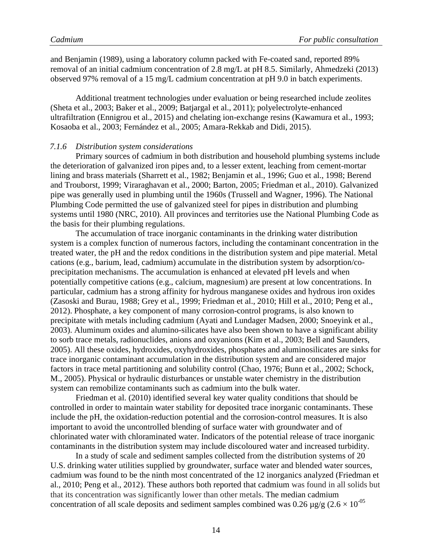and Benjamin (1989), using a laboratory column packed with Fe-coated sand, reported 89% removal of an initial cadmium concentration of 2.8 mg/L at pH 8.5. Similarly, Ahmedzeki (2013) observed 97% removal of a 15 mg/L cadmium concentration at pH 9.0 in batch experiments.

Additional treatment technologies under evaluation or being researched include zeolites (Sheta et al., 2003; Baker et al., 2009; Batjargal et al., 2011); polyelectrolyte-enhanced ultrafiltration (Ennigrou et al., 2015) and chelating ion-exchange resins (Kawamura et al., 1993; Kosaoba et al., 2003; Fernández et al., 2005; Amara-Rekkab and Didi, 2015).

#### <span id="page-16-0"></span>*7.1.6 Distribution system considerations*

Primary sources of cadmium in both distribution and household plumbing systems include the deterioration of galvanized iron pipes and, to a lesser extent, leaching from cement-mortar lining and brass materials (Sharrett et al., 1982; Benjamin et al., 1996; Guo et al., 1998; Berend and Trouborst, 1999; Viraraghavan et al., 2000; Barton, 2005; Friedman et al., 2010). Galvanized pipe was generally used in plumbing until the 1960s (Trussell and Wagner, 1996). The National Plumbing Code permitted the use of galvanized steel for pipes in distribution and plumbing systems until 1980 (NRC, 2010). All provinces and territories use the National Plumbing Code as the basis for their plumbing regulations.

The accumulation of trace inorganic contaminants in the drinking water distribution system is a complex function of numerous factors, including the contaminant concentration in the treated water, the pH and the redox conditions in the distribution system and pipe material. Metal cations (e.g., barium, lead, cadmium) accumulate in the distribution system by adsorption/coprecipitation mechanisms. The accumulation is enhanced at elevated pH levels and when potentially competitive cations (e.g., calcium, magnesium) are present at low concentrations. In particular, cadmium has a strong affinity for hydrous manganese oxides and hydrous iron oxides (Zasoski and Burau, 1988; Grey et al., 1999; Friedman et al., 2010; Hill et al., 2010; Peng et al., 2012). Phosphate, a key component of many corrosion-control programs, is also known to precipitate with metals including cadmium (Ayati and Lundager Madsen, 2000; Snoeyink et al., 2003). Aluminum oxides and alumino-silicates have also been shown to have a significant ability to sorb trace metals, radionuclides, anions and oxyanions (Kim et al., 2003; Bell and Saunders, 2005). All these oxides, hydroxides, oxyhydroxides, phosphates and aluminosilicates are sinks for trace inorganic contaminant accumulation in the distribution system and are considered major factors in trace metal partitioning and solubility control (Chao, 1976; Bunn et al., 2002; Schock, M., 2005). Physical or hydraulic disturbances or unstable water chemistry in the distribution system can remobilize contaminants such as cadmium into the bulk water.

Friedman et al. (2010) identified several key water quality conditions that should be controlled in order to maintain water stability for deposited trace inorganic contaminants. These include the pH, the oxidation-reduction potential and the corrosion-control measures. It is also important to avoid the uncontrolled blending of surface water with groundwater and of chlorinated water with chloraminated water. Indicators of the potential release of trace inorganic contaminants in the distribution system may include discoloured water and increased turbidity.

In a study of scale and sediment samples collected from the distribution systems of 20 U.S. drinking water utilities supplied by groundwater, surface water and blended water sources, cadmium was found to be the ninth most concentrated of the 12 inorganics analyzed (Friedman et al., 2010; Peng et al., 2012). These authors both reported that cadmium was found in all solids but that its concentration was significantly lower than other metals. The median cadmium concentration of all scale deposits and sediment samples combined was 0.26  $\mu$ g/g (2.6 × 10<sup>-05</sup>)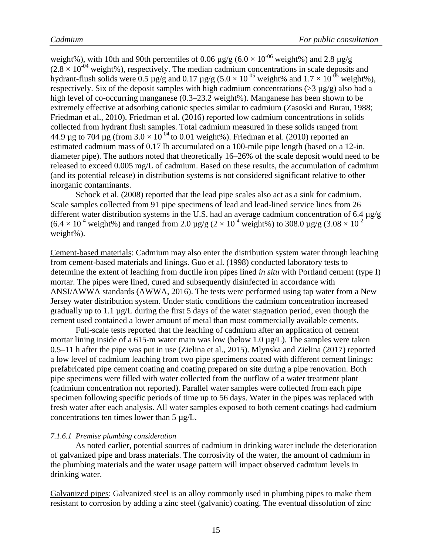weight%), with 10th and 90th percentiles of 0.06  $\mu$ g/g (6.0 × 10<sup>-06</sup> weight%) and 2.8  $\mu$ g/g  $(2.8 \times 10^{-04} \text{ weight\%})$ , respectively. The median cadmium concentrations in scale deposits and hydrant-flush solids were 0.5  $\mu$ g/g and 0.17  $\mu$ g/g (5.0 × 10<sup>-05</sup> weight% and 1.7 × 10<sup>-05</sup> weight%), respectively. Six of the deposit samples with high cadmium concentrations ( $>$ 3 µg/g) also had a high level of co-occurring manganese (0.3–23.2 weight%). Manganese has been shown to be extremely effective at adsorbing cationic species similar to cadmium (Zasoski and Burau, 1988; Friedman et al., 2010). Friedman et al. (2016) reported low cadmium concentrations in solids collected from hydrant flush samples. Total cadmium measured in these solids ranged from 44.9 µg to 704 µg (from  $3.0 \times 10^{-04}$  to 0.01 weight%). Friedman et al. (2010) reported an estimated cadmium mass of 0.17 lb accumulated on a 100-mile pipe length (based on a 12-in. diameter pipe). The authors noted that theoretically 16–26% of the scale deposit would need to be released to exceed 0.005 mg/L of cadmium. Based on these results, the accumulation of cadmium (and its potential release) in distribution systems is not considered significant relative to other inorganic contaminants.

Schock et al. (2008) reported that the lead pipe scales also act as a sink for cadmium. Scale samples collected from 91 pipe specimens of lead and lead-lined service lines from 26 different water distribution systems in the U.S. had an average cadmium concentration of 6.4 µg/g  $(6.4 \times 10^{4} \text{ weight\%})$  and ranged from 2.0 µg/g  $(2 \times 10^{4} \text{ weight\%})$  to 308.0 µg/g  $(3.08 \times 10^{2} \text{ s})$ weight%).

Cement-based materials: Cadmium may also enter the distribution system water through leaching from cement-based materials and linings. Guo et al. (1998) conducted laboratory tests to determine the extent of leaching from ductile iron pipes lined *in situ* with Portland cement (type I) mortar. The pipes were lined, cured and subsequently disinfected in accordance with ANSI/AWWA standards (AWWA, 2016). The tests were performed using tap water from a New Jersey water distribution system. Under static conditions the cadmium concentration increased gradually up to 1.1  $\mu$ g/L during the first 5 days of the water stagnation period, even though the cement used contained a lower amount of metal than most commercially available cements.

Full-scale tests reported that the leaching of cadmium after an application of cement mortar lining inside of a 615-m water main was low (below 1.0  $\mu$ g/L). The samples were taken 0.5–11 h after the pipe was put in use (Zielina et al., 2015). Mlynska and Zielina (2017) reported a low level of cadmium leaching from two pipe specimens coated with different cement linings: prefabricated pipe cement coating and coating prepared on site during a pipe renovation. Both pipe specimens were filled with water collected from the outflow of a water treatment plant (cadmium concentration not reported). Parallel water samples were collected from each pipe specimen following specific periods of time up to 56 days. Water in the pipes was replaced with fresh water after each analysis. All water samples exposed to both cement coatings had cadmium concentrations ten times lower than 5 µg/L.

#### <span id="page-17-0"></span>*7.1.6.1 Premise plumbing consideration*

As noted earlier, potential sources of cadmium in drinking water include the deterioration of galvanized pipe and brass materials. The corrosivity of the water, the amount of cadmium in the plumbing materials and the water usage pattern will impact observed cadmium levels in drinking water.

Galvanized pipes: Galvanized steel is an alloy commonly used in plumbing pipes to make them resistant to corrosion by adding a zinc steel (galvanic) coating. The eventual dissolution of zinc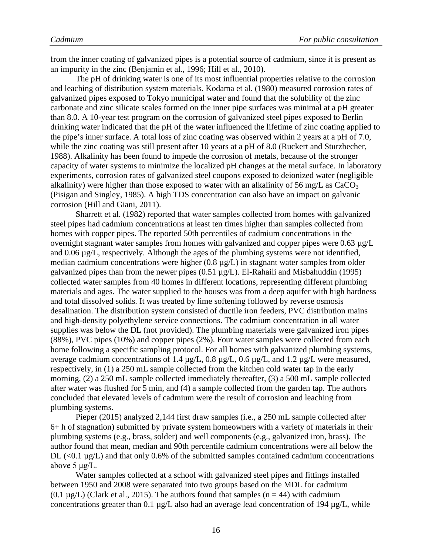from the inner coating of galvanized pipes is a potential source of cadmium, since it is present as an impurity in the zinc (Benjamin et al., 1996; Hill et al., 2010).

The pH of drinking water is one of its most influential properties relative to the corrosion and leaching of distribution system materials. Kodama et al. (1980) measured corrosion rates of galvanized pipes exposed to Tokyo municipal water and found that the solubility of the zinc carbonate and zinc silicate scales formed on the inner pipe surfaces was minimal at a pH greater than 8.0. A 10-year test program on the corrosion of galvanized steel pipes exposed to Berlin drinking water indicated that the pH of the water influenced the lifetime of zinc coating applied to the pipe's inner surface. A total loss of zinc coating was observed within 2 years at a pH of 7.0, while the zinc coating was still present after 10 years at a pH of 8.0 (Ruckert and Sturzbecher, 1988). Alkalinity has been found to impede the corrosion of metals, because of the stronger capacity of water systems to minimize the localized pH changes at the metal surface. In laboratory experiments, corrosion rates of galvanized steel coupons exposed to deionized water (negligible alkalinity) were higher than those exposed to water with an alkalinity of 56 mg/L as  $CaCO<sub>3</sub>$ (Pisigan and Singley, 1985). A high TDS concentration can also have an impact on galvanic corrosion (Hill and Giani, 2011).

Sharrett et al. (1982) reported that water samples collected from homes with galvanized steel pipes had cadmium concentrations at least ten times higher than samples collected from homes with copper pipes. The reported 50th percentiles of cadmium concentrations in the overnight stagnant water samples from homes with galvanized and copper pipes were 0.63  $\mu$ g/L and 0.06 µg/L, respectively. Although the ages of the plumbing systems were not identified, median cadmium concentrations were higher (0.8 µg/L) in stagnant water samples from older galvanized pipes than from the newer pipes  $(0.51 \mu g/L)$ . El-Rahaili and Misbahuddin (1995) collected water samples from 40 homes in different locations, representing different plumbing materials and ages. The water supplied to the houses was from a deep aquifer with high hardness and total dissolved solids. It was treated by lime softening followed by reverse osmosis desalination. The distribution system consisted of ductile iron feeders, PVC distribution mains and high-density polyethylene service connections. The cadmium concentration in all water supplies was below the DL (not provided). The plumbing materials were galvanized iron pipes (88%), PVC pipes (10%) and copper pipes (2%). Four water samples were collected from each home following a specific sampling protocol. For all homes with galvanized plumbing systems, average cadmium concentrations of 1.4  $\mu$ g/L, 0.8  $\mu$ g/L, 0.6  $\mu$ g/L, and 1.2  $\mu$ g/L were measured, respectively, in (1) a 250 mL sample collected from the kitchen cold water tap in the early morning, (2) a 250 mL sample collected immediately thereafter, (3) a 500 mL sample collected after water was flushed for 5 min, and (4) a sample collected from the garden tap. The authors concluded that elevated levels of cadmium were the result of corrosion and leaching from plumbing systems.

Pieper (2015) analyzed 2,144 first draw samples (i.e., a 250 mL sample collected after 6+ h of stagnation) submitted by private system homeowners with a variety of materials in their plumbing systems (e.g., brass, solder) and well components (e.g., galvanized iron, brass). The author found that mean, median and 90th percentile cadmium concentrations were all below the DL  $(<0.1 \mu g/L$ ) and that only 0.6% of the submitted samples contained cadmium concentrations above 5 μg/L.

Water samples collected at a school with galvanized steel pipes and fittings installed between 1950 and 2008 were separated into two groups based on the MDL for cadmium  $(0.1 \mu g/L)$  (Clark et al., 2015). The authors found that samples  $(n = 44)$  with cadmium concentrations greater than 0.1  $\mu$ g/L also had an average lead concentration of 194  $\mu$ g/L, while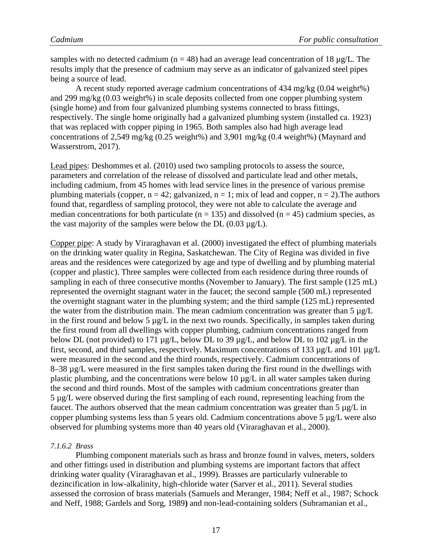samples with no detected cadmium ( $n = 48$ ) had an average lead concentration of 18  $\mu$ g/L. The results imply that the presence of cadmium may serve as an indicator of galvanized steel pipes being a source of lead.

A recent study reported average cadmium concentrations of 434 mg/kg (0.04 weight%) and 299 mg/kg (0.03 weight%) in scale deposits collected from one copper plumbing system (single home) and from four galvanized plumbing systems connected to brass fittings, respectively. The single home originally had a galvanized plumbing system (installed ca. 1923) that was replaced with copper piping in 1965. Both samples also had high average lead concentrations of 2,549 mg/kg (0.25 weight%) and 3,901 mg/kg (0.4 weight%) (Maynard and Wasserstrom, 2017).

Lead pipes: Deshommes et al. (2010) used two sampling protocols to assess the source, parameters and correlation of the release of dissolved and particulate lead and other metals, including cadmium, from 45 homes with lead service lines in the presence of various premise plumbing materials (copper,  $n = 42$ ; galvanized,  $n = 1$ ; mix of lead and copper,  $n = 2$ ). The authors found that, regardless of sampling protocol, they were not able to calculate the average and median concentrations for both particulate ( $n = 135$ ) and dissolved ( $n = 45$ ) cadmium species, as the vast majority of the samples were below the DL  $(0.03 \mu g/L)$ .

Copper pipe: A study by Viraraghavan et al. (2000) investigated the effect of plumbing materials on the drinking water quality in Regina, Saskatchewan. The City of Regina was divided in five areas and the residences were categorized by age and type of dwelling and by plumbing material (copper and plastic). Three samples were collected from each residence during three rounds of sampling in each of three consecutive months (November to January). The first sample (125 mL) represented the overnight stagnant water in the faucet; the second sample (500 mL) represented the overnight stagnant water in the plumbing system; and the third sample (125 mL) represented the water from the distribution main. The mean cadmium concentration was greater than  $5 \mu g/L$ in the first round and below 5  $\mu$ g/L in the next two rounds. Specifically, in samples taken during the first round from all dwellings with copper plumbing, cadmium concentrations ranged from below DL (not provided) to 171  $\mu$ g/L, below DL to 39  $\mu$ g/L, and below DL to 102  $\mu$ g/L in the first, second, and third samples, respectively. Maximum concentrations of 133 µg/L and 101 µg/L were measured in the second and the third rounds, respectively. Cadmium concentrations of 8–38 µg/L were measured in the first samples taken during the first round in the dwellings with plastic plumbing, and the concentrations were below 10 µg/L in all water samples taken during the second and third rounds. Most of the samples with cadmium concentrations greater than 5 µg/L were observed during the first sampling of each round, representing leaching from the faucet. The authors observed that the mean cadmium concentration was greater than 5 µg/L in copper plumbing systems less than 5 years old. Cadmium concentrations above 5 µg/L were also observed for plumbing systems more than 40 years old (Viraraghavan et al., 2000).

#### <span id="page-19-0"></span>*7.1.6.2 Brass*

Plumbing component materials such as brass and bronze found in valves, meters, solders and other fittings used in distribution and plumbing systems are important factors that affect drinking water quality (Viraraghavan et al., 1999). Brasses are particularly vulnerable to dezincification in low-alkalinity, high-chloride water (Sarver et al., 2011). Several studies assessed the corrosion of brass materials (Samuels and Meranger, 1984; Neff et al., 1987; Schock and Neff, 1988; Gardels and Sorg, 1989**)** and non-lead-containing solders (Subramanian et al.,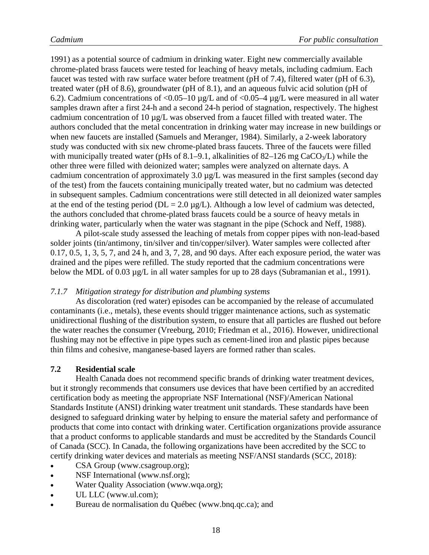1991) as a potential source of cadmium in drinking water. Eight new commercially available chrome-plated brass faucets were tested for leaching of heavy metals, including cadmium. Each faucet was tested with raw surface water before treatment (pH of 7.4), filtered water (pH of 6.3), treated water (pH of 8.6), groundwater (pH of 8.1), and an aqueous fulvic acid solution (pH of 6.2). Cadmium concentrations of  $\langle 0.05-10 \mu g/L$  and of  $\langle 0.05-4 \mu g/L$  were measured in all water samples drawn after a first 24-h and a second 24-h period of stagnation, respectively. The highest cadmium concentration of 10 µg/L was observed from a faucet filled with treated water. The authors concluded that the metal concentration in drinking water may increase in new buildings or when new faucets are installed (Samuels and Meranger, 1984). Similarly, a 2-week laboratory study was conducted with six new chrome-plated brass faucets. Three of the faucets were filled with municipally treated water (pHs of 8.1–9.1, alkalinities of 82–126 mg  $CaCO<sub>3</sub>/L$ ) while the other three were filled with deionized water; samples were analyzed on alternate days. A cadmium concentration of approximately 3.0 µg/L was measured in the first samples (second day of the test) from the faucets containing municipally treated water, but no cadmium was detected in subsequent samples. Cadmium concentrations were still detected in all deionized water samples at the end of the testing period ( $DL = 2.0 \mu g/L$ ). Although a low level of cadmium was detected, the authors concluded that chrome-plated brass faucets could be a source of heavy metals in drinking water, particularly when the water was stagnant in the pipe (Schock and Neff, 1988).

A pilot-scale study assessed the leaching of metals from copper pipes with non-lead-based solder joints (tin/antimony, tin/silver and tin/copper/silver). Water samples were collected after 0.17, 0.5, 1, 3, 5, 7, and 24 h, and 3, 7, 28, and 90 days. After each exposure period, the water was drained and the pipes were refilled. The study reported that the cadmium concentrations were below the MDL of 0.03  $\mu$ g/L in all water samples for up to 28 days (Subramanian et al., 1991).

#### <span id="page-20-0"></span>*7.1.7 Mitigation strategy for distribution and plumbing systems*

As discoloration (red water) episodes can be accompanied by the release of accumulated contaminants (i.e., metals), these events should trigger maintenance actions, such as systematic unidirectional flushing of the distribution system, to ensure that all particles are flushed out before the water reaches the consumer (Vreeburg, 2010; Friedman et al., 2016). However, unidirectional flushing may not be effective in pipe types such as cement-lined iron and plastic pipes because thin films and cohesive, manganese-based layers are formed rather than scales.

#### <span id="page-20-1"></span>**7.2 Residential scale**

Health Canada does not recommend specific brands of drinking water treatment devices, but it strongly recommends that consumers use devices that have been certified by an accredited certification body as meeting the appropriate NSF International (NSF)/American National Standards Institute (ANSI) drinking water treatment unit standards. These standards have been designed to safeguard drinking water by helping to ensure the material safety and performance of products that come into contact with drinking water. Certification organizations provide assurance that a product conforms to applicable standards and must be accredited by the Standards Council of Canada (SCC). In Canada, the following organizations have been accredited by the SCC to certify drinking water devices and materials as meeting NSF/ANSI standards (SCC, 2018):

- CSA Group (www.csagroup.org);
- NSF International (www.nsf.org);
- Water Quality Association (www.wqa.org);
- UL LLC (www.ul.com);
- Bureau de normalisation du Québec (www.bnq.qc.ca); and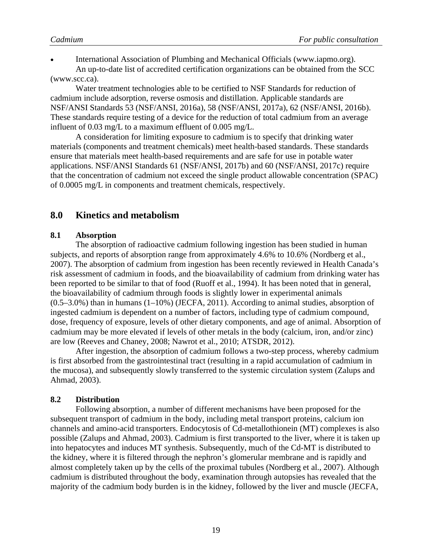• International Association of Plumbing and Mechanical Officials (www.iapmo.org). An up-to-date list of accredited certification organizations can be obtained from the SCC (www.scc.ca).

Water treatment technologies able to be certified to NSF Standards for reduction of cadmium include adsorption, reverse osmosis and distillation. Applicable standards are NSF/ANSI Standards 53 (NSF/ANSI, 2016a), 58 (NSF/ANSI, 2017a), 62 (NSF/ANSI, 2016b). These standards require testing of a device for the reduction of total cadmium from an average influent of 0.03 mg/L to a maximum effluent of 0.005 mg/L.

A consideration for limiting exposure to cadmium is to specify that drinking water materials (components and treatment chemicals) meet health-based standards. These standards ensure that materials meet health-based requirements and are safe for use in potable water applications. NSF/ANSI Standards 61 (NSF/ANSI, 2017b) and 60 (NSF/ANSI, 2017c) require that the concentration of cadmium not exceed the single product allowable concentration (SPAC) of 0.0005 mg/L in components and treatment chemicals, respectively.

#### <span id="page-21-0"></span>**8.0 Kinetics and metabolism**

#### <span id="page-21-1"></span>**8.1 Absorption**

The absorption of radioactive cadmium following ingestion has been studied in human subjects, and reports of absorption range from approximately 4.6% to 10.6% (Nordberg et al., 2007). The absorption of cadmium from ingestion has been recently reviewed in Health Canada's risk assessment of cadmium in foods, and the bioavailability of cadmium from drinking water has been reported to be similar to that of food (Ruoff et al., 1994). It has been noted that in general, the bioavailability of cadmium through foods is slightly lower in experimental animals  $(0.5-3.0\%)$  than in humans  $(1-10\%)$  (JECFA, 2011). According to animal studies, absorption of ingested cadmium is dependent on a number of factors, including type of cadmium compound, dose, frequency of exposure, levels of other dietary components, and age of animal. Absorption of cadmium may be more elevated if levels of other metals in the body (calcium, iron, and/or zinc) are low (Reeves and Chaney, 2008; Nawrot et al., 2010; ATSDR, 2012).

After ingestion, the absorption of cadmium follows a two-step process, whereby cadmium is first absorbed from the gastrointestinal tract (resulting in a rapid accumulation of cadmium in the mucosa), and subsequently slowly transferred to the systemic circulation system (Zalups and Ahmad, 2003).

#### <span id="page-21-2"></span>**8.2 Distribution**

Following absorption, a number of different mechanisms have been proposed for the subsequent transport of cadmium in the body, including metal transport proteins, calcium ion channels and amino-acid transporters. Endocytosis of Cd-metallothionein (MT) complexes is also possible (Zalups and Ahmad, 2003). Cadmium is first transported to the liver, where it is taken up into hepatocytes and induces MT synthesis. Subsequently, much of the Cd-MT is distributed to the kidney, where it is filtered through the nephron's glomerular membrane and is rapidly and almost completely taken up by the cells of the proximal tubules (Nordberg et al., 2007). Although cadmium is distributed throughout the body, examination through autopsies has revealed that the majority of the cadmium body burden is in the kidney, followed by the liver and muscle (JECFA,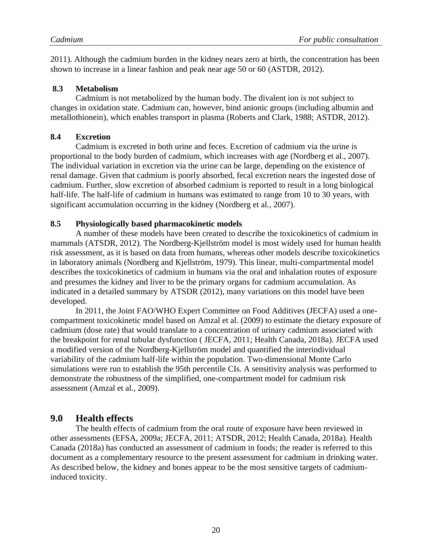2011). Although the cadmium burden in the kidney nears zero at birth, the concentration has been shown to increase in a linear fashion and peak near age 50 or 60 (ASTDR, 2012).

#### <span id="page-22-0"></span>**8.3 Metabolism**

Cadmium is not metabolized by the human body. The divalent ion is not subject to changes in oxidation state. Cadmium can, however, bind anionic groups (including albumin and metallothionein), which enables transport in plasma (Roberts and Clark, 1988; ASTDR, 2012).

#### <span id="page-22-1"></span>**8.4 Excretion**

Cadmium is excreted in both urine and feces. Excretion of cadmium via the urine is proportional to the body burden of cadmium, which increases with age (Nordberg et al., 2007). The individual variation in excretion via the urine can be large, depending on the existence of renal damage. Given that cadmium is poorly absorbed, fecal excretion nears the ingested dose of cadmium. Further, slow excretion of absorbed cadmium is reported to result in a long biological half-life. The half-life of cadmium in humans was estimated to range from 10 to 30 years, with significant accumulation occurring in the kidney (Nordberg et al*.*, 2007).

#### <span id="page-22-2"></span>**8.5 Physiologically based pharmacokinetic models**

A number of these models have been created to describe the toxicokinetics of cadmium in mammals (ATSDR, 2012). The Nordberg-Kjellström model is most widely used for human health risk assessment, as it is based on data from humans, whereas other models describe toxicokinetics in laboratory animals (Nordberg and Kjellström, 1979). This linear, multi-compartmental model describes the toxicokinetics of cadmium in humans via the oral and inhalation routes of exposure and presumes the kidney and liver to be the primary organs for cadmium accumulation. As indicated in a detailed summary by ATSDR (2012), many variations on this model have been developed.

In 2011, the Joint FAO/WHO Expert Committee on Food Additives (JECFA) used a onecompartment toxicokinetic model based on Amzal et al. (2009) to estimate the dietary exposure of cadmium (dose rate) that would translate to a concentration of urinary cadmium associated with the breakpoint for renal tubular dysfunction ( JECFA, 2011; Health Canada, 2018a). JECFA used a modified version of the Nordberg-Kjellström model and quantified the interindividual variability of the cadmium half-life within the population. Two-dimensional Monte Carlo simulations were run to establish the 95th percentile CIs. A sensitivity analysis was performed to demonstrate the robustness of the simplified, one-compartment model for cadmium risk assessment (Amzal et al., 2009).

#### <span id="page-22-3"></span>**9.0 Health effects**

The health effects of cadmium from the oral route of exposure have been reviewed in other assessments (EFSA, 2009a; JECFA, 2011; ATSDR, 2012; Health Canada, 2018a). Health Canada (2018a) has conducted an assessment of cadmium in foods; the reader is referred to this document as a complementary resource to the present assessment for cadmium in drinking water. As described below, the kidney and bones appear to be the most sensitive targets of cadmiuminduced toxicity.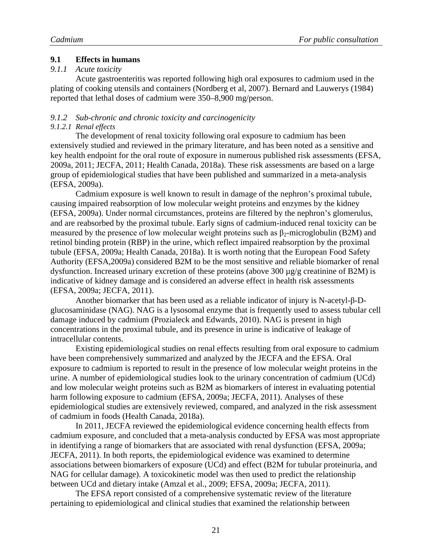#### <span id="page-23-0"></span>**9.1 Effects in humans**

#### <span id="page-23-1"></span>*9.1.1 Acute toxicity*

Acute gastroenteritis was reported following high oral exposures to cadmium used in the plating of cooking utensils and containers (Nordberg et al, 2007). Bernard and Lauwerys (1984) reported that lethal doses of cadmium were 350–8,900 mg/person.

# <span id="page-23-2"></span>*9.1.2 Sub-chronic and chronic toxicity and carcinogenicity*

#### <span id="page-23-3"></span>*9.1.2.1 Renal effects*

The development of renal toxicity following oral exposure to cadmium has been extensively studied and reviewed in the primary literature, and has been noted as a sensitive and key health endpoint for the oral route of exposure in numerous published risk assessments (EFSA, 2009a, 2011; JECFA, 2011; Health Canada, 2018a). These risk assessments are based on a large group of epidemiological studies that have been published and summarized in a meta-analysis (EFSA, 2009a).

Cadmium exposure is well known to result in damage of the nephron's proximal tubule, causing impaired reabsorption of low molecular weight proteins and enzymes by the kidney (EFSA, 2009a). Under normal circumstances, proteins are filtered by the nephron's glomerulus, and are reabsorbed by the proximal tubule. Early signs of cadmium-induced renal toxicity can be measured by the presence of low molecular weight proteins such as  $\beta_2$ -microglobulin (B2M) and retinol binding protein (RBP) in the urine, which reflect impaired reabsorption by the proximal tubule (EFSA, 2009a; Health Canada, 2018a). It is worth noting that the European Food Safety Authority (EFSA,2009a) considered B2M to be the most sensitive and reliable biomarker of renal dysfunction. Increased urinary excretion of these proteins (above 300 µg/g creatinine of B2M) is indicative of kidney damage and is considered an adverse effect in health risk assessments (EFSA, 2009a; JECFA, 2011).

Another biomarker that has been used as a reliable indicator of injury is N-acetyl-β-Dglucosaminidase (NAG). NAG is a lysosomal enzyme that is frequently used to assess tubular cell damage induced by cadmium (Prozialeck and Edwards, 2010). NAG is present in high concentrations in the proximal tubule, and its presence in urine is indicative of leakage of intracellular contents.

Existing epidemiological studies on renal effects resulting from oral exposure to cadmium have been comprehensively summarized and analyzed by the JECFA and the EFSA. Oral exposure to cadmium is reported to result in the presence of low molecular weight proteins in the urine. A number of epidemiological studies look to the urinary concentration of cadmium (UCd) and low molecular weight proteins such as B2M as biomarkers of interest in evaluating potential harm following exposure to cadmium (EFSA, 2009a; JECFA, 2011). Analyses of these epidemiological studies are extensively reviewed, compared, and analyzed in the risk assessment of cadmium in foods (Health Canada, 2018a).

In 2011, JECFA reviewed the epidemiological evidence concerning health effects from cadmium exposure, and concluded that a meta-analysis conducted by EFSA was most appropriate in identifying a range of biomarkers that are associated with renal dysfunction (EFSA, 2009a; JECFA, 2011). In both reports, the epidemiological evidence was examined to determine associations between biomarkers of exposure (UCd) and effect (B2M for tubular proteinuria, and NAG for cellular damage). A toxicokinetic model was then used to predict the relationship between UCd and dietary intake (Amzal et al., 2009; EFSA, 2009a; JECFA, 2011).

The EFSA report consisted of a comprehensive systematic review of the literature pertaining to epidemiological and clinical studies that examined the relationship between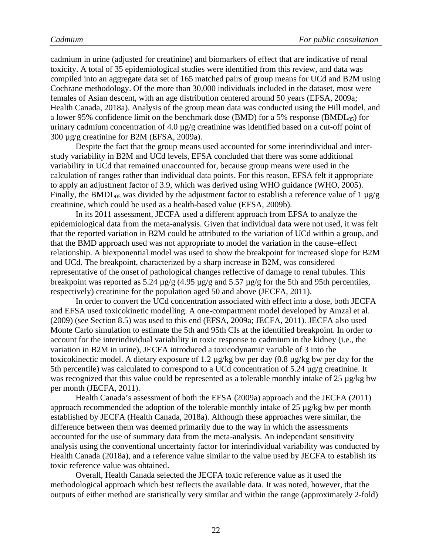cadmium in urine (adjusted for creatinine) and biomarkers of effect that are indicative of renal toxicity. A total of 35 epidemiological studies were identified from this review, and data was compiled into an aggregate data set of 165 matched pairs of group means for UCd and B2M using Cochrane methodology. Of the more than 30,000 individuals included in the dataset, most were females of Asian descent, with an age distribution centered around 50 years (EFSA, 2009a; Health Canada, 2018a). Analysis of the group mean data was conducted using the Hill model, and a lower 95% confidence limit on the benchmark dose (BMD) for a 5% response (BMDL $_{05}$ ) for urinary cadmium concentration of 4.0 µg/g creatinine was identified based on a cut-off point of 300 µg/g creatinine for B2M (EFSA, 2009a).

Despite the fact that the group means used accounted for some interindividual and interstudy variability in B2M and UCd levels, EFSA concluded that there was some additional variability in UCd that remained unaccounted for, because group means were used in the calculation of ranges rather than individual data points. For this reason, EFSA felt it appropriate to apply an adjustment factor of 3.9, which was derived using WHO guidance (WHO, 2005). Finally, the BMDL<sub>05</sub> was divided by the adjustment factor to establish a reference value of 1  $\mu$ g/g creatinine, which could be used as a health-based value (EFSA, 2009b).

In its 2011 assessment, JECFA used a different approach from EFSA to analyze the epidemiological data from the meta-analysis. Given that individual data were not used, it was felt that the reported variation in B2M could be attributed to the variation of UCd within a group, and that the BMD approach used was not appropriate to model the variation in the cause–effect relationship. A biexponential model was used to show the breakpoint for increased slope for B2M and UCd. The breakpoint, characterized by a sharp increase in B2M, was considered representative of the onset of pathological changes reflective of damage to renal tubules. This breakpoint was reported as 5.24  $\mu$ g/g (4.95  $\mu$ g/g and 5.57  $\mu$ g/g for the 5th and 95th percentiles, respectively) creatinine for the population aged 50 and above (JECFA, 2011).

In order to convert the UCd concentration associated with effect into a dose, both JECFA and EFSA used toxicokinetic modelling. A one-compartment model developed by Amzal et al. (2009) (see Section 8.5) was used to this end (EFSA, 2009a; JECFA, 2011). JECFA also used Monte Carlo simulation to estimate the 5th and 95th CIs at the identified breakpoint. In order to account for the interindividual variability in toxic response to cadmium in the kidney (i.e., the variation in B2M in urine), JECFA introduced a toxicodynamic variable of 3 into the toxicokinectic model. A dietary exposure of 1.2 µg/kg bw per day (0.8 µg/kg bw per day for the 5th percentile) was calculated to correspond to a UCd concentration of 5.24 µg/g creatinine. It was recognized that this value could be represented as a tolerable monthly intake of 25 µg/kg bw per month (JECFA, 2011).

Health Canada's assessment of both the EFSA (2009a) approach and the JECFA (2011) approach recommended the adoption of the tolerable monthly intake of 25 µg/kg bw per month established by JECFA (Health Canada, 2018a). Although these approaches were similar, the difference between them was deemed primarily due to the way in which the assessments accounted for the use of summary data from the meta-analysis. An independant sensitivity analysis using the conventional uncertainty factor for interindividual variability was conducted by Health Canada (2018a), and a reference value similar to the value used by JECFA to establish its toxic reference value was obtained.

Overall, Health Canada selected the JECFA toxic reference value as it used the methodological approach which best reflects the available data. It was noted, however, that the outputs of either method are statistically very similar and within the range (approximately 2-fold)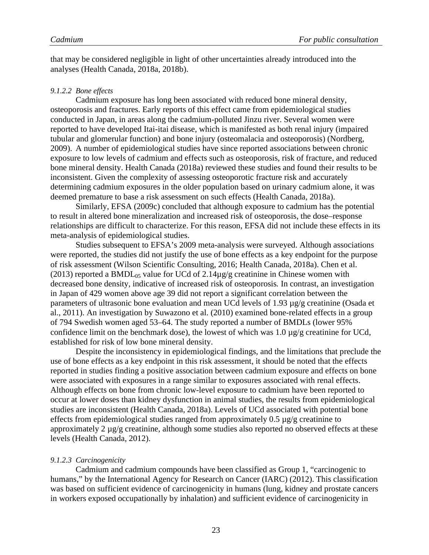that may be considered negligible in light of other uncertainties already introduced into the analyses (Health Canada, 2018a, 2018b).

#### <span id="page-25-0"></span>*9.1.2.2 Bone effects*

Cadmium exposure has long been associated with reduced bone mineral density, osteoporosis and fractures. Early reports of this effect came from epidemiological studies conducted in Japan, in areas along the cadmium-polluted Jinzu river. Several women were reported to have developed Itai-itai disease, which is manifested as both renal injury (impaired tubular and glomerular function) and bone injury (osteomalacia and osteoporosis) (Nordberg, 2009). A number of epidemiological studies have since reported associations between chronic exposure to low levels of cadmium and effects such as osteoporosis, risk of fracture, and reduced bone mineral density. Health Canada (2018a) reviewed these studies and found their results to be inconsistent. Given the complexity of assessing osteoporotic fracture risk and accurately determining cadmium exposures in the older population based on urinary cadmium alone, it was deemed premature to base a risk assessment on such effects (Health Canada, 2018a).

Similarly, EFSA (2009c) concluded that although exposure to cadmium has the potential to result in altered bone mineralization and increased risk of osteoporosis, the dose–response relationships are difficult to characterize. For this reason, EFSA did not include these effects in its meta-analysis of epidemiological studies.

Studies subsequent to EFSA's 2009 meta-analysis were surveyed. Although associations were reported, the studies did not justify the use of bone effects as a key endpoint for the purpose of risk assessment (Wilson Scientific Consulting, 2016; Health Canada, 2018a). Chen et al. (2013) reported a BMDL<sub>05</sub> value for UCd of 2.14 $\mu$ g/g creatinine in Chinese women with decreased bone density, indicative of increased risk of osteoporosis*.* In contrast, an investigation in Japan of 429 women above age 39 did not report a significant correlation between the parameters of ultrasonic bone evaluation and mean UCd levels of 1.93 µg/g creatinine (Osada et al., 2011). An investigation by Suwazono et al. (2010) examined bone-related effects in a group of 794 Swedish women aged 53–64. The study reported a number of BMDLs (lower 95% confidence limit on the benchmark dose), the lowest of which was 1.0 µg/g creatinine for UCd, established for risk of low bone mineral density.

Despite the inconsistency in epidemiological findings, and the limitations that preclude the use of bone effects as a key endpoint in this risk assessment, it should be noted that the effects reported in studies finding a positive association between cadmium exposure and effects on bone were associated with exposures in a range similar to exposures associated with renal effects. Although effects on bone from chronic low-level exposure to cadmium have been reported to occur at lower doses than kidney dysfunction in animal studies, the results from epidemiological studies are inconsistent (Health Canada, 2018a). Levels of UCd associated with potential bone effects from epidemiological studies ranged from approximately 0.5  $\mu$ g/g creatinine to approximately 2 µg/g creatinine, although some studies also reported no observed effects at these levels (Health Canada, 2012).

#### <span id="page-25-1"></span>*9.1.2.3 Carcinogenicity*

Cadmium and cadmium compounds have been classified as Group 1, "carcinogenic to humans," by the International Agency for Research on Cancer (IARC) (2012). This classification was based on sufficient evidence of carcinogenicity in humans (lung, kidney and prostate cancers in workers exposed occupationally by inhalation) and sufficient evidence of carcinogenicity in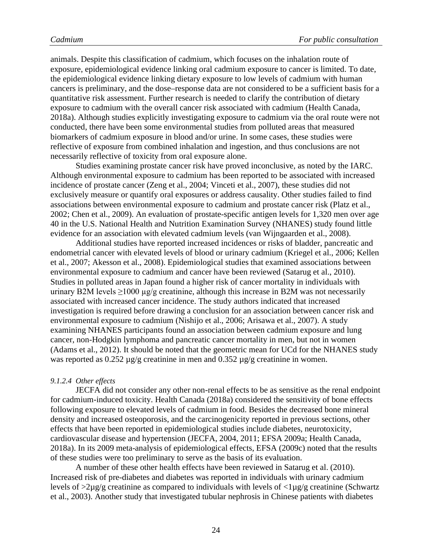animals. Despite this classification of cadmium, which focuses on the inhalation route of exposure, epidemiological evidence linking oral cadmium exposure to cancer is limited. To date, the epidemiological evidence linking dietary exposure to low levels of cadmium with human cancers is preliminary, and the dose–response data are not considered to be a sufficient basis for a quantitative risk assessment. Further research is needed to clarify the contribution of dietary exposure to cadmium with the overall cancer risk associated with cadmium (Health Canada, 2018a). Although studies explicitly investigating exposure to cadmium via the oral route were not conducted, there have been some environmental studies from polluted areas that measured biomarkers of cadmium exposure in blood and/or urine. In some cases, these studies were reflective of exposure from combined inhalation and ingestion, and thus conclusions are not necessarily reflective of toxicity from oral exposure alone.

Studies examining prostate cancer risk have proved inconclusive, as noted by the IARC. Although environmental exposure to cadmium has been reported to be associated with increased incidence of prostate cancer (Zeng et al., 2004; Vinceti et al., 2007), these studies did not exclusively measure or quantify oral exposures or address causality. Other studies failed to find associations between environmental exposure to cadmium and prostate cancer risk (Platz et al., 2002; Chen et al., 2009). An evaluation of prostate-specific antigen levels for 1,320 men over age 40 in the U.S. National Health and Nutrition Examination Survey (NHANES) study found little evidence for an association with elevated cadmium levels (van Wijngaarden et al., 2008).

Additional studies have reported increased incidences or risks of bladder, pancreatic and endometrial cancer with elevated levels of blood or urinary cadmium (Kriegel et al., 2006; Kellen et al., 2007; Akesson et al., 2008). Epidemiological studies that examined associations between environmental exposure to cadmium and cancer have been reviewed (Satarug et al., 2010). Studies in polluted areas in Japan found a higher risk of cancer mortality in individuals with urinary B2M levels  $\geq 1000$  µg/g creatinine, although this increase in B2M was not necessarily associated with increased cancer incidence. The study authors indicated that increased investigation is required before drawing a conclusion for an association between cancer risk and environmental exposure to cadmium (Nishijo et al., 2006; Arisawa et al., 2007). A study examining NHANES participants found an association between cadmium exposure and lung cancer, non-Hodgkin lymphoma and pancreatic cancer mortality in men, but not in women (Adams et al., 2012). It should be noted that the geometric mean for UCd for the NHANES study was reported as 0.252 µg/g creatinine in men and 0.352 µg/g creatinine in women.

#### <span id="page-26-0"></span>*9.1.2.4 Other effects*

JECFA did not consider any other non-renal effects to be as sensitive as the renal endpoint for cadmium-induced toxicity. Health Canada (2018a) considered the sensitivity of bone effects following exposure to elevated levels of cadmium in food. Besides the decreased bone mineral density and increased osteoporosis, and the carcinogenicity reported in previous sections, other effects that have been reported in epidemiological studies include diabetes, neurotoxicity, cardiovascular disease and hypertension (JECFA, 2004, 2011; EFSA 2009a; Health Canada, 2018a). In its 2009 meta-analysis of epidemiological effects, EFSA (2009c) noted that the results of these studies were too preliminary to serve as the basis of its evaluation.

A number of these other health effects have been reviewed in Satarug et al. (2010). Increased risk of pre-diabetes and diabetes was reported in individuals with urinary cadmium levels of  $>2\mu$ g/g creatinine as compared to individuals with levels of  $<\!\!\mu$ g/g creatinine (Schwartz et al., 2003). Another study that investigated tubular nephrosis in Chinese patients with diabetes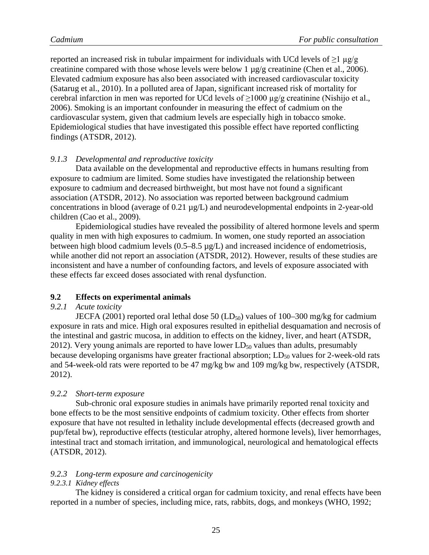reported an increased risk in tubular impairment for individuals with UCd levels of  $\geq 1$  µg/g creatinine compared with those whose levels were below 1 µg/g creatinine (Chen et al., 2006). Elevated cadmium exposure has also been associated with increased cardiovascular toxicity (Satarug et al., 2010). In a polluted area of Japan, significant increased risk of mortality for cerebral infarction in men was reported for UCd levels of  $\geq$ 1000  $\mu$ g/g creatinine (Nishijo et al., 2006). Smoking is an important confounder in measuring the effect of cadmium on the cardiovascular system, given that cadmium levels are especially high in tobacco smoke. Epidemiological studies that have investigated this possible effect have reported conflicting findings (ATSDR, 2012).

#### <span id="page-27-0"></span>*9.1.3 Developmental and reproductive toxicity*

Data available on the developmental and reproductive effects in humans resulting from exposure to cadmium are limited. Some studies have investigated the relationship between exposure to cadmium and decreased birthweight, but most have not found a significant association (ATSDR, 2012). No association was reported between background cadmium concentrations in blood (average of 0.21 µg/L) and neurodevelopmental endpoints in 2-year-old children (Cao et al., 2009).

Epidemiological studies have revealed the possibility of altered hormone levels and sperm quality in men with high exposures to cadmium. In women, one study reported an association between high blood cadmium levels (0.5–8.5 µg/L) and increased incidence of endometriosis, while another did not report an association (ATSDR, 2012). However, results of these studies are inconsistent and have a number of confounding factors, and levels of exposure associated with these effects far exceed doses associated with renal dysfunction.

#### <span id="page-27-1"></span>**9.2 Effects on experimental animals**

#### <span id="page-27-2"></span>*9.2.1 Acute toxicity*

JECFA (2001) reported oral lethal dose 50 (LD<sub>50</sub>) values of 100–300 mg/kg for cadmium exposure in rats and mice. High oral exposures resulted in epithelial desquamation and necrosis of the intestinal and gastric mucosa, in addition to effects on the kidney, liver, and heart (ATSDR, 2012). Very young animals are reported to have lower  $LD_{50}$  values than adults, presumably because developing organisms have greater fractional absorption;  $LD_{50}$  values for 2-week-old rats and 54-week-old rats were reported to be 47 mg/kg bw and 109 mg/kg bw, respectively (ATSDR, 2012).

#### <span id="page-27-3"></span>*9.2.2 Short-term exposure*

Sub-chronic oral exposure studies in animals have primarily reported renal toxicity and bone effects to be the most sensitive endpoints of cadmium toxicity. Other effects from shorter exposure that have not resulted in lethality include developmental effects (decreased growth and pup/fetal bw), reproductive effects (testicular atrophy, altered hormone levels), liver hemorrhages, intestinal tract and stomach irritation, and immunological, neurological and hematological effects (ATSDR, 2012).

#### <span id="page-27-4"></span>*9.2.3 Long-term exposure and carcinogenicity*

#### <span id="page-27-5"></span>*9.2.3.1 Kidney effects*

The kidney is considered a critical organ for cadmium toxicity, and renal effects have been reported in a number of species, including mice, rats, rabbits, dogs, and monkeys (WHO, 1992;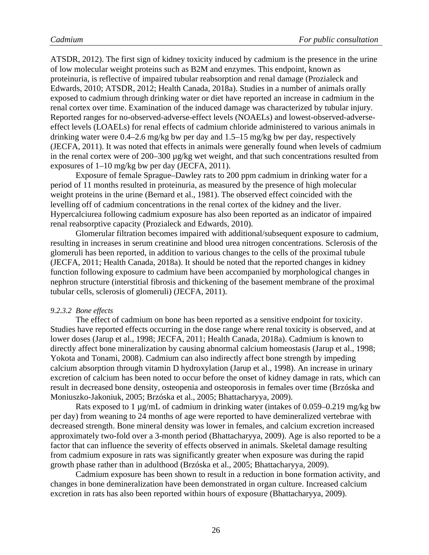ATSDR, 2012). The first sign of kidney toxicity induced by cadmium is the presence in the urine of low molecular weight proteins such as B2M and enzymes. This endpoint, known as proteinuria, is reflective of impaired tubular reabsorption and renal damage (Prozialeck and Edwards, 2010; ATSDR, 2012; Health Canada, 2018a). Studies in a number of animals orally exposed to cadmium through drinking water or diet have reported an increase in cadmium in the renal cortex over time. Examination of the induced damage was characterized by tubular injury. Reported ranges for no-observed-adverse-effect levels (NOAELs) and lowest-observed-adverseeffect levels (LOAELs) for renal effects of cadmium chloride administered to various animals in drinking water were 0.4–2.6 mg/kg bw per day and 1.5–15 mg/kg bw per day, respectively (JECFA, 2011). It was noted that effects in animals were generally found when levels of cadmium in the renal cortex were of 200–300 µg/kg wet weight, and that such concentrations resulted from exposures of 1–10 mg/kg bw per day (JECFA, 2011).

Exposure of female Sprague–Dawley rats to 200 ppm cadmium in drinking water for a period of 11 months resulted in proteinuria, as measured by the presence of high molecular weight proteins in the urine (Bernard et al., 1981). The observed effect coincided with the levelling off of cadmium concentrations in the renal cortex of the kidney and the liver. Hypercalciurea following cadmium exposure has also been reported as an indicator of impaired renal reabsorptive capacity (Prozialeck and Edwards, 2010).

Glomerular filtration becomes impaired with additional/subsequent exposure to cadmium, resulting in increases in serum creatinine and blood urea nitrogen concentrations. Sclerosis of the glomeruli has been reported, in addition to various changes to the cells of the proximal tubule (JECFA, 2011; Health Canada, 2018a). It should be noted that the reported changes in kidney function following exposure to cadmium have been accompanied by morphological changes in nephron structure (interstitial fibrosis and thickening of the basement membrane of the proximal tubular cells, sclerosis of glomeruli) (JECFA, 2011).

#### <span id="page-28-0"></span>*9.2.3.2 Bone effects*

The effect of cadmium on bone has been reported as a sensitive endpoint for toxicity. Studies have reported effects occurring in the dose range where renal toxicity is observed, and at lower doses (Jarup et al., 1998; JECFA, 2011; Health Canada, 2018a). Cadmium is known to directly affect bone mineralization by causing abnormal calcium homeostasis (Jarup et al., 1998; Yokota and Tonami, 2008). Cadmium can also indirectly affect bone strength by impeding calcium absorption through vitamin D hydroxylation (Jarup et al., 1998). An increase in urinary excretion of calcium has been noted to occur before the onset of kidney damage in rats, which can result in decreased bone density, osteopenia and osteoporosis in females over time (Brzóska and Moniuszko-Jakoniuk, 2005; Brzóska et al., 2005; Bhattacharyya, 2009).

Rats exposed to 1  $\mu$ g/mL of cadmium in drinking water (intakes of 0.059–0.219 mg/kg bw per day) from weaning to 24 months of age were reported to have demineralized vertebrae with decreased strength. Bone mineral density was lower in females, and calcium excretion increased approximately two-fold over a 3-month period (Bhattacharyya, 2009). Age is also reported to be a factor that can influence the severity of effects observed in animals. Skeletal damage resulting from cadmium exposure in rats was significantly greater when exposure was during the rapid growth phase rather than in adulthood (Brzóska et al., 2005; Bhattacharyya, 2009).

Cadmium exposure has been shown to result in a reduction in bone formation activity, and changes in bone demineralization have been demonstrated in organ culture. Increased calcium excretion in rats has also been reported within hours of exposure (Bhattacharyya, 2009).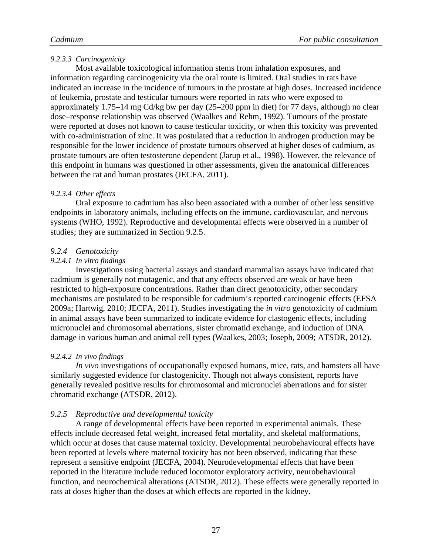#### <span id="page-29-0"></span>*9.2.3.3 Carcinogenicity*

Most available toxicological information stems from inhalation exposures, and information regarding carcinogenicity via the oral route is limited. Oral studies in rats have indicated an increase in the incidence of tumours in the prostate at high doses. Increased incidence of leukemia, prostate and testicular tumours were reported in rats who were exposed to approximately 1.75–14 mg Cd/kg bw per day (25–200 ppm in diet) for 77 days, although no clear dose–response relationship was observed (Waalkes and Rehm, 1992). Tumours of the prostate were reported at doses not known to cause testicular toxicity, or when this toxicity was prevented with co-administration of zinc. It was postulated that a reduction in androgen production may be responsible for the lower incidence of prostate tumours observed at higher doses of cadmium, as prostate tumours are often testosterone dependent (Jarup et al., 1998). However, the relevance of this endpoint in humans was questioned in other assessments, given the anatomical differences between the rat and human prostates (JECFA, 2011).

#### <span id="page-29-1"></span>*9.2.3.4 Other effects*

Oral exposure to cadmium has also been associated with a number of other less sensitive endpoints in laboratory animals, including effects on the immune, cardiovascular, and nervous systems (WHO, 1992). Reproductive and developmental effects were observed in a number of studies; they are summarized in Section 9.2.5.

#### <span id="page-29-2"></span>*9.2.4 Genotoxicity*

#### <span id="page-29-3"></span>*9.2.4.1 In vitro findings*

Investigations using bacterial assays and standard mammalian assays have indicated that cadmium is generally not mutagenic, and that any effects observed are weak or have been restricted to high-exposure concentrations. Rather than direct genotoxicity, other secondary mechanisms are postulated to be responsible for cadmium's reported carcinogenic effects (EFSA 2009a; Hartwig, 2010; JECFA, 2011). Studies investigating the *in vitro* genotoxicity of cadmium in animal assays have been summarized to indicate evidence for clastogenic effects, including micronuclei and chromosomal aberrations, sister chromatid exchange, and induction of DNA damage in various human and animal cell types (Waalkes, 2003; Joseph, 2009; ATSDR, 2012).

#### <span id="page-29-4"></span>*9.2.4.2 In vivo findings*

*In vivo* investigations of occupationally exposed humans, mice, rats, and hamsters all have similarly suggested evidence for clastogenicity. Though not always consistent, reports have generally revealed positive results for chromosomal and micronuclei aberrations and for sister chromatid exchange (ATSDR, 2012).

#### <span id="page-29-5"></span>*9.2.5 Reproductive and developmental toxicity*

A range of developmental effects have been reported in experimental animals. These effects include decreased fetal weight, increased fetal mortality, and skeletal malformations, which occur at doses that cause maternal toxicity. Developmental neurobehavioural effects have been reported at levels where maternal toxicity has not been observed, indicating that these represent a sensitive endpoint (JECFA, 2004). Neurodevelopmental effects that have been reported in the literature include reduced locomotor exploratory activity, neurobehavioural function, and neurochemical alterations (ATSDR, 2012). These effects were generally reported in rats at doses higher than the doses at which effects are reported in the kidney.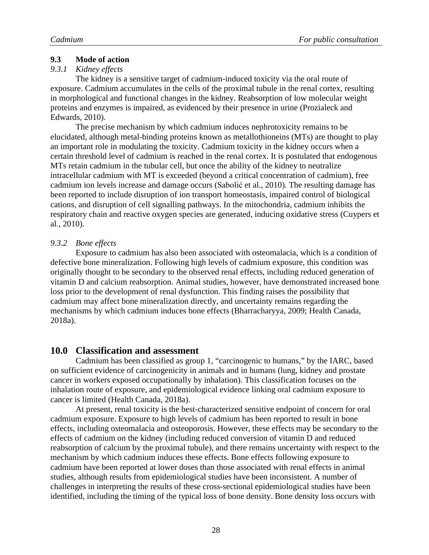#### <span id="page-30-0"></span>**9.3 Mode of action**

#### <span id="page-30-1"></span>*9.3.1 Kidney effects*

The kidney is a sensitive target of cadmium-induced toxicity via the oral route of exposure. Cadmium accumulates in the cells of the proximal tubule in the renal cortex, resulting in morphological and functional changes in the kidney. Reabsorption of low molecular weight proteins and enzymes is impaired, as evidenced by their presence in urine (Prozialeck and Edwards, 2010).

The precise mechanism by which cadmium induces nephrotoxicity remains to be elucidated, although metal-binding proteins known as metallothioneins (MTs) are thought to play an important role in modulating the toxicity. Cadmium toxicity in the kidney occurs when a certain threshold level of cadmium is reached in the renal cortex. It is postulated that endogenous MTs retain cadmium in the tubular cell, but once the ability of the kidney to neutralize intracellular cadmium with MT is exceeded (beyond a critical concentration of cadmium), free cadmium ion levels increase and damage occurs (Sabolić et al., 2010). The resulting damage has been reported to include disruption of ion transport homeostasis, impaired control of biological cations, and disruption of cell signalling pathways. In the mitochondria, cadmium inhibits the respiratory chain and reactive oxygen species are generated, inducing oxidative stress (Cuypers et al., 2010).

#### <span id="page-30-2"></span>*9.3.2 Bone effects*

Exposure to cadmium has also been associated with osteomalacia, which is a condition of defective bone mineralization. Following high levels of cadmium exposure, this condition was originally thought to be secondary to the observed renal effects, including reduced generation of vitamin D and calcium reabsorption. Animal studies, however, have demonstrated increased bone loss prior to the development of renal dysfunction. This finding raises the possibility that cadmium may affect bone mineralization directly, and uncertainty remains regarding the mechanisms by which cadmium induces bone effects (Bharracharyya, 2009; Health Canada, 2018a).

#### <span id="page-30-3"></span>**10.0 Classification and assessment**

Cadmium has been classified as group 1, "carcinogenic to humans," by the IARC, based on sufficient evidence of carcinogenicity in animals and in humans (lung, kidney and prostate cancer in workers exposed occupationally by inhalation). This classification focuses on the inhalation route of exposure, and epidemiological evidence linking oral cadmium exposure to cancer is limited (Health Canada, 2018a).

At present, renal toxicity is the best-characterized sensitive endpoint of concern for oral cadmium exposure. Exposure to high levels of cadmium has been reported to result in bone effects, including osteomalacia and osteoporosis. However, these effects may be secondary to the effects of cadmium on the kidney (including reduced conversion of vitamin D and reduced reabsorption of calcium by the proximal tubule), and there remains uncertainty with respect to the mechanism by which cadmium induces these effects. Bone effects following exposure to cadmium have been reported at lower doses than those associated with renal effects in animal studies, although results from epidemiological studies have been inconsistent. A number of challenges in interpreting the results of these cross-sectional epidemiological studies have been identified, including the timing of the typical loss of bone density. Bone density loss occurs with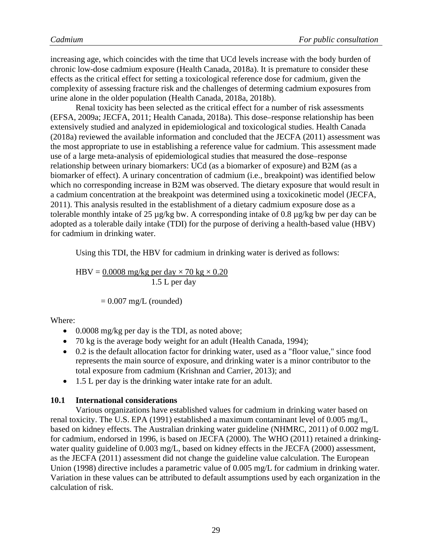increasing age, which coincides with the time that UCd levels increase with the body burden of chronic low-dose cadmium exposure (Health Canada, 2018a). It is premature to consider these effects as the critical effect for setting a toxicological reference dose for cadmium, given the complexity of assessing fracture risk and the challenges of determing cadmium exposures from urine alone in the older population (Health Canada, 2018a, 2018b).

Renal toxicity has been selected as the critical effect for a number of risk assessments (EFSA, 2009a; JECFA, 2011; Health Canada, 2018a). This dose–response relationship has been extensively studied and analyzed in epidemiological and toxicological studies. Health Canada (2018a) reviewed the available information and concluded that the JECFA (2011) assessment was the most appropriate to use in establishing a reference value for cadmium. This assessment made use of a large meta-analysis of epidemiological studies that measured the dose–response relationship between urinary biomarkers: UCd (as a biomarker of exposure) and B2M (as a biomarker of effect). A urinary concentration of cadmium (i.e., breakpoint) was identified below which no corresponding increase in B2M was observed. The dietary exposure that would result in a cadmium concentration at the breakpoint was determined using a toxicokinetic model (JECFA, 2011). This analysis resulted in the establishment of a dietary cadmium exposure dose as a tolerable monthly intake of 25 µg/kg bw. A corresponding intake of 0.8 µg/kg bw per day can be adopted as a tolerable daily intake (TDI) for the purpose of deriving a health-based value (HBV) for cadmium in drinking water.

Using this TDI, the HBV for cadmium in drinking water is derived as follows:

$$
HBV = \frac{0.0008 \text{ mg/kg per day} \times 70 \text{ kg} \times 0.20}{1.5 \text{ L per day}}
$$

$$
= 0.007 \text{ mg/L (rounded)}
$$

Where:

- 0.0008 mg/kg per day is the TDI, as noted above;
- 70 kg is the average body weight for an adult (Health Canada, 1994);
- 0.2 is the default allocation factor for drinking water, used as a "floor value," since food represents the main source of exposure, and drinking water is a minor contributor to the total exposure from cadmium (Krishnan and Carrier, 2013); and
- 1.5 L per day is the drinking water intake rate for an adult.

#### <span id="page-31-0"></span>**10.1 International considerations**

Various organizations have established values for cadmium in drinking water based on renal toxicity. The U.S. EPA (1991) established a maximum contaminant level of 0.005 mg/L, based on kidney effects. The Australian drinking water guideline (NHMRC, 2011) of 0.002 mg/L for cadmium, endorsed in 1996, is based on JECFA (2000). The WHO (2011) retained a drinkingwater quality guideline of 0.003 mg/L, based on kidney effects in the JECFA (2000) assessment, as the JECFA (2011) assessment did not change the guideline value calculation. The European Union (1998) directive includes a parametric value of 0.005 mg/L for cadmium in drinking water. Variation in these values can be attributed to default assumptions used by each organization in the calculation of risk.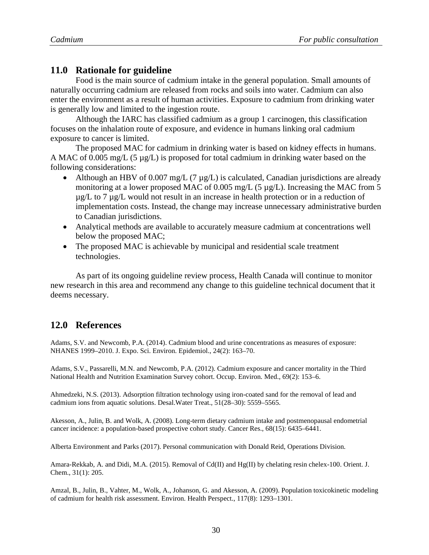#### <span id="page-32-0"></span>**11.0 Rationale for guideline**

Food is the main source of cadmium intake in the general population. Small amounts of naturally occurring cadmium are released from rocks and soils into water. Cadmium can also enter the environment as a result of human activities. Exposure to cadmium from drinking water is generally low and limited to the ingestion route.

Although the IARC has classified cadmium as a group 1 carcinogen, this classification focuses on the inhalation route of exposure, and evidence in humans linking oral cadmium exposure to cancer is limited.

The proposed MAC for cadmium in drinking water is based on kidney effects in humans. A MAC of 0.005 mg/L (5 µg/L) is proposed for total cadmium in drinking water based on the following considerations:

- Although an HBV of 0.007 mg/L (7  $\mu$ g/L) is calculated, Canadian jurisdictions are already monitoring at a lower proposed MAC of 0.005 mg/L (5 µg/L). Increasing the MAC from 5 µg/L to 7 µg/L would not result in an increase in health protection or in a reduction of implementation costs. Instead, the change may increase unnecessary administrative burden to Canadian jurisdictions.
- Analytical methods are available to accurately measure cadmium at concentrations well below the proposed MAC;
- The proposed MAC is achievable by municipal and residential scale treatment technologies.

As part of its ongoing guideline review process, Health Canada will continue to monitor new research in this area and recommend any change to this guideline technical document that it deems necessary.

#### <span id="page-32-1"></span>**12.0 References**

Adams, S.V. and Newcomb, P.A. (2014). Cadmium blood and urine concentrations as measures of exposure: NHANES 1999–2010. J. Expo. Sci. Environ. Epidemiol., 24(2): 163–70.

Adams, S.V., Passarelli, M.N. and Newcomb, P.A. (2012). Cadmium exposure and cancer mortality in the Third National Health and Nutrition Examination Survey cohort. Occup. Environ. Med., 69(2): 153–6.

Ahmedzeki, N.S. (2013). Adsorption filtration technology using iron-coated sand for the removal of lead and cadmium ions from aquatic solutions. Desal.Water Treat., 51(28–30): 5559–5565.

Akesson, A., Julin, B. and Wolk, A. (2008). Long-term dietary cadmium intake and postmenopausal endometrial cancer incidence: a population-based prospective cohort study. Cancer Res., 68(15): 6435–6441.

Alberta Environment and Parks (2017). Personal communication with Donald Reid, Operations Division.

Amara-Rekkab, A. and Didi, M.A. (2015). Removal of Cd(II) and Hg(II) by chelating resin chelex-100. Orient. J. Chem., 31(1): 205.

Amzal, B., Julin, B., Vahter, M., Wolk, A., Johanson, G. and Akesson, A. (2009). Population toxicokinetic modeling of cadmium for health risk assessment. Environ. Health Perspect., 117(8): 1293–1301.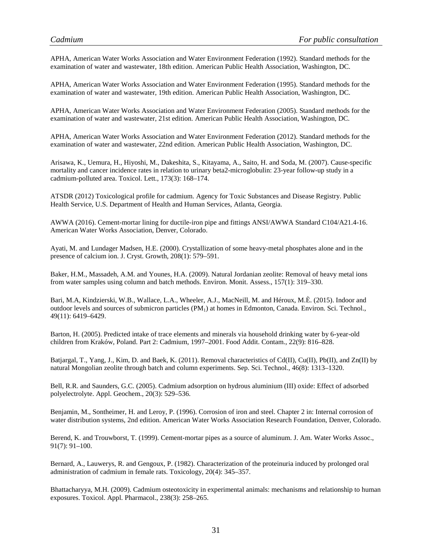APHA, American Water Works Association and Water Environment Federation (1992). Standard methods for the examination of water and wastewater, 18th edition. American Public Health Association, Washington, DC.

APHA, American Water Works Association and Water Environment Federation (1995). Standard methods for the examination of water and wastewater, 19th edition. American Public Health Association, Washington, DC.

APHA, American Water Works Association and Water Environment Federation (2005). Standard methods for the examination of water and wastewater, 21st edition. American Public Health Association, Washington, DC.

APHA, American Water Works Association and Water Environment Federation (2012). Standard methods for the examination of water and wastewater, 22nd edition. American Public Health Association, Washington, DC.

Arisawa, K., Uemura, H., Hiyoshi, M., Dakeshita, S., Kitayama, A., Saito, H. and Soda, M. (2007). Cause-specific mortality and cancer incidence rates in relation to urinary beta2-microglobulin: 23-year follow-up study in a cadmium-polluted area. Toxicol. Lett., 173(3): 168–174.

ATSDR (2012) Toxicological profile for cadmium. Agency for Toxic Substances and Disease Registry. Public Health Service, U.S. Department of Health and Human Services, Atlanta, Georgia.

AWWA (2016). Cement-mortar lining for ductile-iron pipe and fittings ANSI/AWWA Standard C104/A21.4-16. American Water Works Association, Denver, Colorado.

Ayati, M. and Lundager Madsen, H.E. (2000). Crystallization of some heavy-metal phosphates alone and in the presence of calcium ion. J. Cryst. Growth*,* 208(1): 579–591.

Baker, H.M., Massadeh, A.M. and Younes, H.A. (2009). Natural Jordanian zeolite: Removal of heavy metal ions from water samples using column and batch methods. Environ. Monit. Assess., 157(1): 319–330.

Bari, M.A, Kindzierski, W.B., Wallace, L.A., Wheeler, A.J., MacNeill, M. and Héroux, M.È. (2015). Indoor and outdoor levels and sources of submicron particles (PM<sub>1</sub>) at homes in Edmonton, Canada. Environ. Sci. Technol., 49(11): 6419–6429.

Barton, H. (2005). Predicted intake of trace elements and minerals via household drinking water by 6-year-old children from Kraków, Poland. Part 2: Cadmium, 1997–2001. Food Addit. Contam., 22(9): 816–828.

Batjargal, T., Yang, J., Kim, D. and Baek, K. (2011). Removal characteristics of Cd(II), Cu(II), Pb(II), and Zn(II) by natural Mongolian zeolite through batch and column experiments. Sep. Sci. Technol., 46(8): 1313–1320.

Bell, R.R. and Saunders, G.C. (2005). Cadmium adsorption on hydrous aluminium (III) oxide: Effect of adsorbed polyelectrolyte. Appl. Geochem., 20(3): 529–536.

Benjamin, M., Sontheimer, H. and Leroy, P. (1996). Corrosion of iron and steel. Chapter 2 in: Internal corrosion of water distribution systems, 2nd edition. American Water Works Association Research Foundation, Denver, Colorado.

Berend, K. and Trouwborst, T. (1999). Cement-mortar pipes as a source of aluminum. J. Am. Water Works Assoc., 91(7): 91–100.

Bernard, A., Lauwerys, R. and Gengoux, P. (1982). Characterization of the proteinuria induced by prolonged oral administration of cadmium in female rats. Toxicology, 20(4): 345–357.

Bhattacharyya, M.H. (2009). Cadmium osteotoxicity in experimental animals: mechanisms and relationship to human exposures. Toxicol. Appl. Pharmacol., 238(3): 258–265.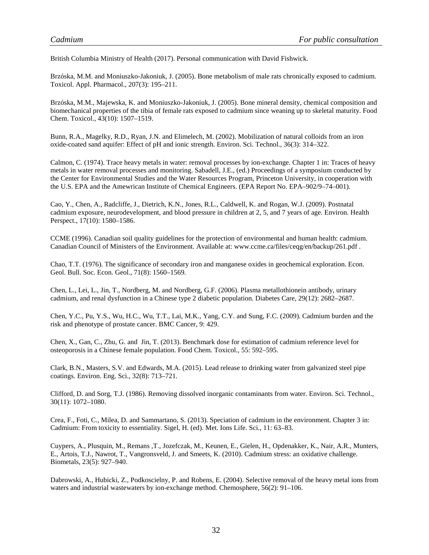British Columbia Ministry of Health (2017). Personal communication with David Fishwick.

Brzóska, M.M. and Moniuszko-Jakoniuk, J. (2005). Bone metabolism of male rats chronically exposed to cadmium. Toxicol. Appl. Pharmacol., 207(3): 195–211.

Brzóska, M.M., Majewska, K. and Moniuszko-Jakoniuk, J. (2005). Bone mineral density, chemical composition and biomechanical properties of the tibia of female rats exposed to cadmium since weaning up to skeletal maturity. Food Chem. Toxicol., 43(10): 1507–1519.

Bunn, R.A., Magelky, R.D., Ryan, J.N. and Elimelech, M. (2002). Mobilization of natural colloids from an iron oxide-coated sand aquifer: Effect of pH and ionic strength. Environ. Sci. Technol., 36(3): 314–322.

Calmon, C. (1974). Trace heavy metals in water: removal processes by ion-exchange. Chapter 1 in: Traces of heavy metals in water removal processes and monitoring. Sabadell, J.E., (ed.) Proceedings of a symposium conducted by the Center for Environmental Studies and the Water Resources Program, Princeton University, in cooperation with the U.S. EPA and the Amewrican Institute of Chemical Engineers. (EPA Report No. EPA–902/9–74–001).

Cao, Y., Chen, A., Radcliffe, J., Dietrich, K.N., Jones, R.L., Caldwell, K. and Rogan, W.J. (2009). Postnatal cadmium exposure, neurodevelopment, and blood pressure in children at 2, 5, and 7 years of age. Environ. Health Perspect., 17(10): 1580–1586.

CCME (1996). Canadian soil quality guidelines for the protection of environmental and human health: cadmium. Canadian Council of Ministers of the Environment. Available at: www.ccme.ca/files/ceqg/en/backup/261.pdf .

Chao, T.T. (1976). The significance of secondary iron and manganese oxides in geochemical exploration. Econ. Geol. Bull. Soc. Econ. Geol., 71(8): 1560–1569.

Chen, L., Lei, L., Jin, T., Nordberg, M. and Nordberg, G.F. (2006). Plasma metallothionein antibody, urinary cadmium, and renal dysfunction in a Chinese type 2 diabetic population. Diabetes Care, 29(12): 2682–2687.

Chen, Y.C., Pu, Y.S., Wu, H.C., Wu, T.T., Lai, M.K., Yang, C.Y. and Sung, F.C. (2009). Cadmium burden and the risk and phenotype of prostate cancer. BMC Cancer, 9: 429.

Chen, X., Gan, C., Zhu, G. and Jin, T. (2013). Benchmark dose for estimation of cadmium reference level for osteoporosis in a Chinese female population. Food Chem. Toxicol., 55: 592–595.

Clark, B.N., Masters, S.V. and Edwards, M.A. (2015). Lead release to drinking water from galvanized steel pipe coatings. Environ. Eng. Sci., 32(8): 713–721.

Clifford, D. and Sorg, T.J. (1986). Removing dissolved inorganic contaminants from water. Environ. Sci. Technol., 30(11): 1072–1080.

Crea, F., Foti, C., Milea, D. and Sammartano, S. (2013). Speciation of cadmium in the environment. Chapter 3 in: Cadmium: From toxicity to essentiality. Sigel, H. (ed). Met. Ions Life. Sci., 11: 63–83.

Cuypers, A., Plusquin, M., Remans ,T., Jozefczak, M., Keunen, E., Gielen, H., Opdenakker, K., Nair, A.R., Munters, E., Artois, T.J., Nawrot, T., Vangronsveld, J. and Smeets, K. (2010). Cadmium stress: an oxidative challenge. Biometals, 23(5): 927–940.

Dabrowski, A., Hubicki, Z., Podkoscielny, P. and Robens, E. (2004). Selective removal of the heavy metal ions from waters and industrial wastewaters by ion-exchange method. Chemosphere, 56(2): 91–106.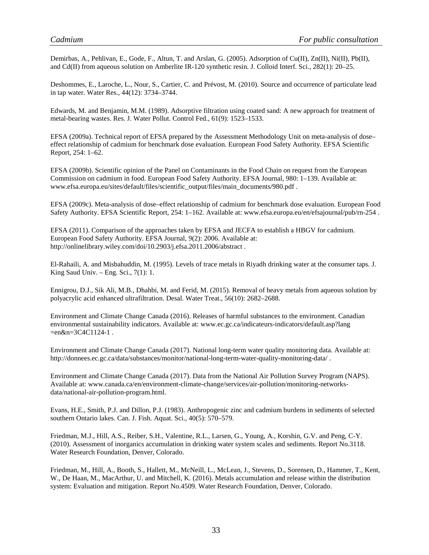Demirbas, A., Pehlivan, E., Gode, F., Altun, T. and Arslan, G. (2005). Adsorption of Cu(II), Zn(II), Ni(II), Pb(II), and Cd(II) from aqueous solution on Amberlite IR-120 synthetic resin. J. Colloid Interf. Sci., 282(1): 20–25.

Deshommes, E., Laroche, L., Nour, S., Cartier, C. and Prévost, M. (2010). Source and occurrence of particulate lead in tap water. Water Res., 44(12): 3734–3744.

Edwards, M. and Benjamin, M.M. (1989). Adsorptive filtration using coated sand: A new approach for treatment of metal-bearing wastes. Res. J. Water Pollut. Control Fed., 61(9): 1523–1533.

EFSA (2009a). Technical report of EFSA prepared by the Assessment Methodology Unit on meta-analysis of dose– effect relationship of cadmium for benchmark dose evaluation. European Food Safety Authority. EFSA Scientific Report, 254: 1–62.

EFSA (2009b). Scientific opinion of the Panel on Contaminants in the Food Chain on request from the European Commission on cadmium in food. European Food Safety Authority. EFSA Journal, 980: 1–139. Available at: www.efsa.europa.eu/sites/default/files/scientific\_output/files/main\_documents/980.pdf .

EFSA (2009c). Meta-analysis of dose–effect relationship of cadmium for benchmark dose evaluation. European Food Safety Authority. EFSA Scientific Report, 254: 1–162. Available at: www.efsa.europa.eu/en/efsajournal/pub/rn-254 .

EFSA (2011). Comparison of the approaches taken by EFSA and JECFA to establish a HBGV for cadmium. European Food Safety Authority. EFSA Journal, 9(2): 2006. Available at: http://onlinelibrary.wiley.com/doi/10.2903/j.efsa.2011.2006/abstract .

El-Rahaili, A. and Misbahuddin, M. (1995). Levels of trace metals in Riyadh drinking water at the consumer taps. J. King Saud Univ. – Eng. Sci.,  $7(1)$ : 1.

Ennigrou, D.J., Sik Ali, M.B., Dhahbi, M. and Ferid, M. (2015). Removal of heavy metals from aqueous solution by polyacrylic acid enhanced ultrafiltration. Desal. Water Treat., 56(10): 2682–2688.

Environment and Climate Change Canada (2016). Releases of harmful substances to the environment. Canadian environmental sustainability indicators. Available at: www.ec.gc.ca/indicateurs-indicators/default.asp?lang =en&n=3C4C1124-1 .

Environment and Climate Change Canada (2017). National long-term water quality monitoring data. Available at: http://donnees.ec.gc.ca/data/substances/monitor/national-long-term-water-quality-monitoring-data/ .

Environment and Climate Change Canada (2017). Data from the National Air Pollution Survey Program (NAPS). Available at: www.canada.ca/en/environment-climate-change/services/air-pollution/monitoring-networksdata/national-air-pollution-program.html.

Evans, H.E., Smith, P.J. and Dillon, P.J. (1983). Anthropogenic zinc and cadmium burdens in sediments of selected southern Ontario lakes. Can. J. Fish. Aquat. Sci., 40(5): 570–579.

Friedman, M.J., Hill, A.S., Reiber, S.H., Valentine, R.L., Larsen, G., Young, A., Korshin, G.V. and Peng, C-Y. (2010). Assessment of inorganics accumulation in drinking water system scales and sediments. Report No.3118. Water Research Foundation, Denver, Colorado.

Friedman, M., Hill, A., Booth, S., Hallett, M., McNeill, L., McLean, J., Stevens, D., Sorensen, D., Hammer, T., Kent, W., De Haan, M., MacArthur, U. and Mitchell, K. (2016). Metals accumulation and release within the distribution system: Evaluation and mitigation. Report No.4509. Water Research Foundation, Denver, Colorado.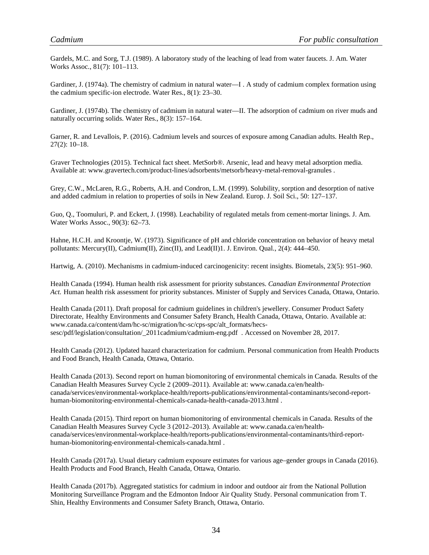Gardels, M.C. and Sorg, T.J. (1989). A laboratory study of the leaching of lead from water faucets. J. Am. Water Works Assoc., 81(7): 101–113.

Gardiner, J. (1974a). The chemistry of cadmium in natural water—I . A study of cadmium complex formation using the cadmium specific-ion electrode. Water Res., 8(1): 23–30.

Gardiner, J. (1974b). The chemistry of cadmium in natural water—II. The adsorption of cadmium on river muds and naturally occurring solids. Water Res., 8(3): 157–164.

Garner, R. and Levallois, P. (2016). Cadmium levels and sources of exposure among Canadian adults. Health Rep., 27(2): 10–18.

Graver Technologies (2015). Technical fact sheet. MetSorb®. Arsenic, lead and heavy metal adsorption media. Available at: www.gravertech.com/product-lines/adsorbents/metsorb/heavy-metal-removal-granules .

Grey, C.W., McLaren, R.G., Roberts, A.H. and Condron, L.M. (1999). Solubility, sorption and desorption of native and added cadmium in relation to properties of soils in New Zealand. Europ. J. Soil Sci., 50: 127–137.

Guo, Q., Toomuluri, P. and Eckert, J. (1998). Leachability of regulated metals from cement-mortar linings. J. Am. Water Works Assoc., 90(3): 62–73.

Hahne, H.C.H. and Kroontje, W. (1973). Significance of pH and chloride concentration on behavior of heavy metal pollutants: Mercury(II), Cadmium(II), Zinc(II), and Lead(II)1. J. Environ. Qual., 2(4): 444–450.

Hartwig, A. (2010). Mechanisms in cadmium-induced carcinogenicity: recent insights. Biometals, 23(5): 951–960.

Health Canada (1994). Human health risk assessment for priority substances. *Canadian Environmental Protection Act.* Human health risk assessment for priority substances. Minister of Supply and Services Canada, Ottawa, Ontario.

Health Canada (2011). Draft proposal for cadmium guidelines in children's jewellery. Consumer Product Safety Directorate, Healthy Environments and Consumer Safety Branch, Health Canada, Ottawa, Ontario. Available at: www.canada.ca/content/dam/hc-sc/migration/hc-sc/cps-spc/alt\_formats/hecssesc/pdf/legislation/consultation/\_2011cadmium/cadmium-eng.pdf . Accessed on November 28, 2017.

Health Canada (2012). Updated hazard characterization for cadmium. Personal communication from Health Products and Food Branch, Health Canada, Ottawa, Ontario.

Health Canada (2013). Second report on human biomonitoring of environmental chemicals in Canada. Results of the Canadian Health Measures Survey Cycle 2 (2009–2011). Available at: www.canada.ca/en/healthcanada/services/environmental-workplace-health/reports-publications/environmental-contaminants/second-reporthuman-biomonitoring-environmental-chemicals-canada-health-canada-2013.html .

Health Canada (2015). Third report on human biomonitoring of environmental chemicals in Canada. Results of the Canadian Health Measures Survey Cycle 3 (2012–2013). Available at: www.canada.ca/en/healthcanada/services/environmental-workplace-health/reports-publications/environmental-contaminants/third-reporthuman-biomonitoring-environmental-chemicals-canada.html .

Health Canada (2017a). Usual dietary cadmium exposure estimates for various age–gender groups in Canada (2016). Health Products and Food Branch, Health Canada, Ottawa, Ontario.

Health Canada (2017b). Aggregated statistics for cadmium in indoor and outdoor air from the National Pollution Monitoring Surveillance Program and the Edmonton Indoor Air Quality Study. Personal communication from T. Shin, Healthy Environments and Consumer Safety Branch, Ottawa, Ontario.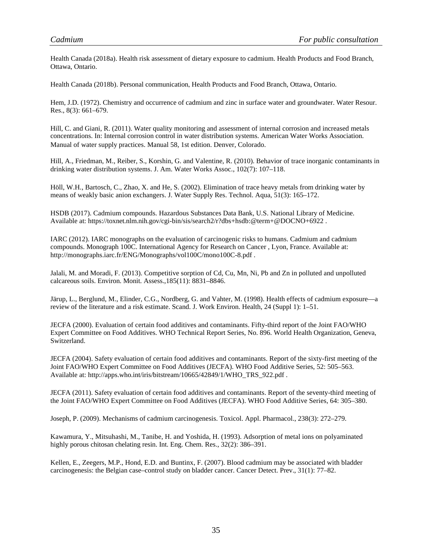Health Canada (2018a). Health risk assessment of dietary exposure to cadmium. Health Products and Food Branch, Ottawa, Ontario.

Health Canada (2018b). Personal communication, Health Products and Food Branch, Ottawa, Ontario.

Hem, J.D. (1972). Chemistry and occurrence of cadmium and zinc in surface water and groundwater. Water Resour. Res., 8(3): 661–679.

Hill, C. and Giani, R. (2011). Water quality monitoring and assessment of internal corrosion and increased metals concentrations. In: Internal corrosion control in water distribution systems. American Water Works Association. Manual of water supply practices. Manual 58, 1st edition. Denver, Colorado.

Hill, A., Friedman, M., Reiber, S., Korshin, G. and Valentine, R. (2010). Behavior of trace inorganic contaminants in drinking water distribution systems. J. Am. Water Works Assoc., 102(7): 107–118.

Höll, W.H., Bartosch, C., Zhao, X. and He, S. (2002). Elimination of trace heavy metals from drinking water by means of weakly basic anion exchangers. J. Water Supply Res. Technol. Aqua, 51(3): 165–172.

HSDB (2017). Cadmium compounds. Hazardous Substances Data Bank, U.S. National Library of Medicine. Available at: https://toxnet.nlm.nih.gov/cgi-bin/sis/search2/r?dbs+hsdb:@term+@DOCNO+6922 .

IARC (2012). IARC monographs on the evaluation of carcinogenic risks to humans. Cadmium and cadmium compounds. Monograph 100C. International Agency for Research on Cancer , Lyon, France. Available at: http://monographs.iarc.fr/ENG/Monographs/vol100C/mono100C-8.pdf .

Jalali, M. and Moradi, F. (2013). Competitive sorption of Cd, Cu, Mn, Ni, Pb and Zn in polluted and unpolluted calcareous soils. Environ. Monit. Assess.,185(11): 8831–8846.

Järup, L., Berglund, M., Elinder, C.G., Nordberg, G. and Vahter, M. (1998). Health effects of cadmium exposure—a review of the literature and a risk estimate. Scand. J. Work Environ. Health, 24 (Suppl 1): 1–51.

JECFA (2000). Evaluation of certain food additives and contaminants. Fifty-third report of the Joint FAO/WHO Expert Committee on Food Additives. WHO Technical Report Series, No. 896. World Health Organization, Geneva, Switzerland.

JECFA (2004). Safety evaluation of certain food additives and contaminants. Report of the sixty-first meeting of the Joint FAO/WHO Expert Committee on Food Additives (JECFA). WHO Food Additive Series, 52: 505–563. Available at: http://apps.who.int/iris/bitstream/10665/42849/1/WHO\_TRS\_922.pdf .

JECFA (2011). Safety evaluation of certain food additives and contaminants. Report of the seventy-third meeting of the Joint FAO/WHO Expert Committee on Food Additives (JECFA). WHO Food Additive Series, 64: 305–380.

Joseph, P. (2009). Mechanisms of cadmium carcinogenesis. Toxicol. Appl. Pharmacol., 238(3): 272–279.

Kawamura, Y., Mitsuhashi, M., Tanibe, H. and Yoshida, H. (1993). Adsorption of metal ions on polyaminated highly porous chitosan chelating resin. Int. Eng. Chem. Res., 32(2): 386–391.

Kellen, E., Zeegers, M.P., Hond, E.D. and Buntinx, F. (2007). Blood cadmium may be associated with bladder carcinogenesis: the Belgian case–control study on bladder cancer. Cancer Detect. Prev., 31(1): 77–82.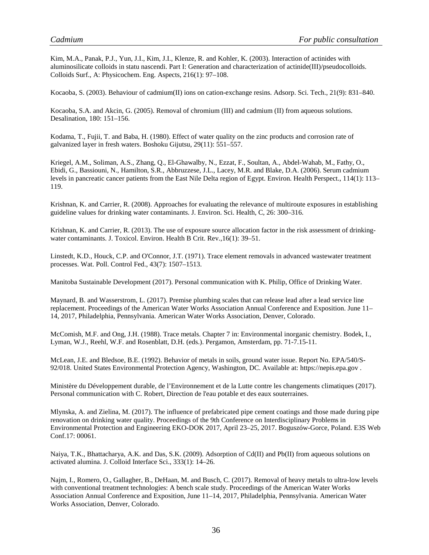Kim, M.A., Panak, P.J., Yun, J.I., Kim, J.I., Klenze, R. and Kohler, K. (2003). Interaction of actinides with aluminosilicate colloids in statu nascendi. Part I: Generation and characterization of actinide(III)/pseudocolloids. Colloids Surf., A: Physicochem. Eng. Aspects, 216(1): 97–108.

Kocaoba, S. (2003). Behaviour of cadmium(II) ions on cation-exchange resins. Adsorp. Sci. Tech., 21(9): 831–840.

Kocaoba, S.A. and Akcin, G. (2005). Removal of chromium (III) and cadmium (II) from aqueous solutions. Desalination, 180: 151–156.

Kodama, T., Fujii, T. and Baba, H. (1980). Effect of water quality on the zinc products and corrosion rate of galvanized layer in fresh waters. Boshoku Gijutsu, 29(11): 551–557.

Kriegel, A.M., Soliman, A.S., Zhang, Q., El-Ghawalby, N., Ezzat, F., Soultan, A., Abdel-Wahab, M., Fathy, O., Ebidi, G., Bassiouni, N., Hamilton, S.R., Abbruzzese, J.L., Lacey, M.R. and Blake, D.A. (2006). Serum cadmium levels in pancreatic cancer patients from the East Nile Delta region of Egypt. Environ. Health Perspect., 114(1): 113– 119.

Krishnan, K. and Carrier, R. (2008). Approaches for evaluating the relevance of multiroute exposures in establishing guideline values for drinking water contaminants. J. Environ. Sci. Health, C, 26: 300–316.

Krishnan, K. and Carrier, R. (2013). The use of exposure source allocation factor in the risk assessment of drinkingwater contaminants. J. Toxicol. Environ. Health B Crit. Rev., 16(1): 39–51.

Linstedt, K.D., Houck, C.P. and O'Connor, J.T. (1971). Trace element removals in advanced wastewater treatment processes. Wat. Poll. Control Fed., 43(7): 1507–1513.

Manitoba Sustainable Development (2017). Personal communication with K. Philip, Office of Drinking Water.

Maynard, B. and Wasserstrom, L. (2017). Premise plumbing scales that can release lead after a lead service line replacement. Proceedings of the American Water Works Association Annual Conference and Exposition. June 11– 14, 2017, Philadelphia, Pennsylvania. American Water Works Association, Denver, Colorado.

McComish, M.F. and Ong, J.H. (1988). Trace metals. Chapter 7 in: Environmental inorganic chemistry. Bodek, I., Lyman, W.J., Reehl, W.F. and Rosenblatt, D.H. (eds.). Pergamon, Amsterdam, pp. 71-7.15-11.

McLean, J.E. and Bledsoe, B.E. (1992). Behavior of metals in soils, ground water issue. Report No. EPA/540/S-92/018. United States Environmental Protection Agency, Washington, DC. Available at: https://nepis.epa.gov .

Ministère du Développement durable, de l'Environnement et de la Lutte contre les changements climatiques (2017). Personal communication with C. Robert, Direction de l'eau potable et des eaux souterraines.

Mlynska, A. and Zielina, M. (2017). The influence of prefabricated pipe cement coatings and those made during pipe renovation on drinking water quality. Proceedings of the 9th Conference on Interdisciplinary Problems in Environmental Protection and Engineering EKO-DOK 2017, April 23–25, 2017. Boguszów-Gorce, Poland. E3S Web Conf.17: 00061.

Naiya, T.K., Bhattacharya, A.K. and Das, S.K. (2009). Adsorption of Cd(II) and Pb(II) from aqueous solutions on activated alumina. J. Colloid Interface Sci., 333(1): 14–26.

Najm, I., Romero, O., Gallagher, B., DeHaan, M. and Busch, C. (2017). Removal of heavy metals to ultra-low levels with conventional treatment technologies: A bench scale study. Proceedings of the American Water Works Association Annual Conference and Exposition, June 11–14, 2017, Philadelphia, Pennsylvania. American Water Works Association, Denver, Colorado.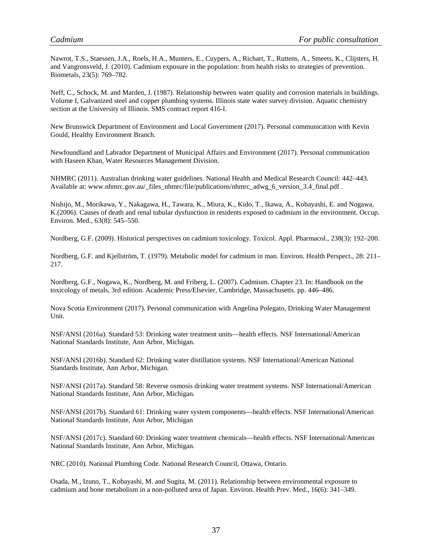Nawrot, T.S., Staessen, J.A., Roels, H.A., Munters, E., Cuypers, A., Richart, T., Ruttens, A., Smeets, K., Clijsters, H. and Vangronsveld, J. (2010). Cadmium exposure in the population: from health risks to strategies of prevention. Biometals, 23(5): 769–782.

Neff, C., Schock, M. and Marden, J. (1987). Relationship between water quality and corrosion materials in buildings. Volume I, Galvanized steel and copper plumbing systems. Illinois state water survey division. Aquatic chemistry section at the University of Illinois. SMS contract report 416-I.

New Brunswick Department of Environment and Local Government (2017). Personal communication with Kevin Gould, Healthy Environment Branch.

Newfoundland and Labrador Department of Municipal Affairs and Environment (2017). Personal communication with Haseen Khan, Water Resources Management Division.

NHMRC (2011). Australian drinking water guidelines. National Health and Medical Research Council: 442–443. Available at: www.nhmrc.gov.au/\_files\_nhmrc/file/publications/nhmrc\_adwg\_6\_version\_3.4\_final.pdf .

Nishijo, M., Morikawa, Y., Nakagawa, H., Tawara, K., Miura, K., Kido, T., Ikawa, A., Kobayashi, E. and Nogawa, K.(2006). Causes of death and renal tubular dysfunction in residents exposed to cadmium in the environment. Occup. Environ. Med., 63(8): 545–550.

Nordberg, G.F. (2009). Historical perspectives on cadmium toxicology. Toxicol. Appl. Pharmacol., 238(3): 192–200.

Nordberg, G.F. and Kjellström, T. (1979). Metabolic model for cadmium in man. Environ. Health Perspect., 28: 211– 217.

Nordberg, G.F., Nogawa, K., Nordberg, M. and Friberg, L. (2007). Cadmium. Chapter 23. In: Handbook on the toxicology of metals, 3rd edition. Academic Press/Elsevier, Cambridge, Massachusetts. pp. 446–486.

Nova Scotia Environment (2017). Personal communication with Angelina Polegato, Drinking Water Management Unit.

NSF/ANSI (2016a). Standard 53: Drinking water treatment units—health effects. NSF International/American National Standards Institute, Ann Arbor, Michigan.

NSF/ANSI (2016b). Standard 62: Drinking water distillation systems. NSF International/American National Standards Institute, Ann Arbor, Michigan.

NSF/ANSI (2017a). Standard 58: Reverse osmosis drinking water treatment systems. NSF International/American National Standards Institute, Ann Arbor, Michigan.

NSF/ANSI (2017b). Standard 61: Drinking water system components—health effects. NSF International/American National Standards Institute, Ann Arbor, Michigan

NSF/ANSI (2017c). Standard 60: Drinking water treatment chemicals—health effects. NSF International/American National Standards Institute, Ann Arbor, Michigan.

NRC (2010). National Plumbing Code. National Research Council, Ottawa, Ontario.

Osada, M., Izuno, T., Kobayashi, M. and Sugita, M. (2011). Relationship between environmental exposure to cadmium and bone metabolism in a non-polluted area of Japan. Environ. Health Prev. Med., 16(6): 341–349.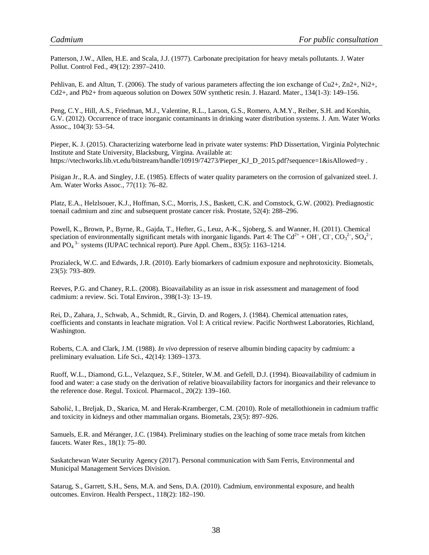Patterson, J.W., Allen, H.E. and Scala, J.J. (1977). Carbonate precipitation for heavy metals pollutants. J. Water Pollut. Control Fed., 49(12): 2397–2410.

Pehlivan, E. and Altun, T. (2006). The study of various parameters affecting the ion exchange of Cu2+, Zn2+, Ni2+, Cd2+, and Pb2+ from aqueous solution on Dowex 50W synthetic resin. J. Hazard. Mater., 134(1-3): 149–156.

Peng, C.Y., Hill, A.S., Friedman, M.J., Valentine, R.L., Larson, G.S., Romero, A.M.Y., Reiber, S.H. and Korshin, G.V. (2012). Occurrence of trace inorganic contaminants in drinking water distribution systems. J. Am. Water Works Assoc., 104(3): 53–54.

Pieper, K. J. (2015). Characterizing waterborne lead in private water systems: PhD Dissertation, Virginia Polytechnic Institute and State University, Blacksburg, Virgina. Available at: https://vtechworks.lib.vt.edu/bitstream/handle/10919/74273/Pieper KJ D 2015.pdf?sequence=1&isAllowed=y .

Pisigan Jr., R.A. and Singley, J.E. (1985). Effects of water quality parameters on the corrosion of galvanized steel. J. Am. Water Works Assoc., 77(11): 76–82.

Platz, E.A., Helzlsouer, K.J., Hoffman, S.C., Morris, J.S., Baskett, C.K. and Comstock, G.W. (2002). Prediagnostic toenail cadmium and zinc and subsequent prostate cancer risk. Prostate, 52(4): 288–296.

Powell, K., Brown, P., Byrne, R., Gajda, T., Hefter, G., Leuz, A-K., Sjoberg, S. and Wanner, H. (2011). Chemical speciation of environmentally significant metals with inorganic ligands. Part 4: The Cd<sup>2+</sup> + OH<sup>-</sup>, Cl<sup>-</sup>, CO<sub>3</sub><sup>2-</sup>, SO<sub>4</sub><sup>2-</sup>, and  $PO<sub>4</sub><sup>3-</sup>$  systems (IUPAC technical report). Pure Appl. Chem., 83(5): 1163–1214.

Prozialeck, W.C. and Edwards, J.R. (2010). Early biomarkers of cadmium exposure and nephrotoxicity. Biometals, 23(5): 793–809.

Reeves, P.G. and Chaney, R.L. (2008). Bioavailability as an issue in risk assessment and management of food cadmium: a review. Sci. Total Environ., 398(1-3): 13–19.

Rei, D., Zahara, J., Schwab, A., Schmidt, R., Girvin, D. and Rogers, J. (1984). Chemical attenuation rates, coefficients and constants in leachate migration. Vol I: A critical review. Pacific Northwest Laboratories, Richland, Washington.

Roberts, C.A. and Clark, J.M. (1988). *In vivo* depression of reserve albumin binding capacity by cadmium: a preliminary evaluation. Life Sci., 42(14): 1369–1373.

Ruoff, W.L., Diamond, G.L., Velazquez, S.F., Stiteler, W.M. and Gefell, D.J. (1994). Bioavailability of cadmium in food and water: a case study on the derivation of relative bioavailability factors for inorganics and their relevance to the reference dose. Regul. Toxicol. Pharmacol., 20(2): 139–160.

Sabolić, I., Breljak, D., Skarica, M. and Herak-Kramberger, C.M. (2010). Role of metallothionein in cadmium traffic and toxicity in kidneys and other mammalian organs. Biometals, 23(5): 897–926.

Samuels, E.R. and Méranger, J.C. (1984). Preliminary studies on the leaching of some trace metals from kitchen faucets. Water Res., 18(1): 75–80.

Saskatchewan Water Security Agency (2017). Personal communication with Sam Ferris, Environmental and Municipal Management Services Division.

Satarug, S., Garrett, S.H., Sens, M.A. and Sens, D.A. (2010). Cadmium, environmental exposure, and health outcomes. Environ. Health Perspect., 118(2): 182–190.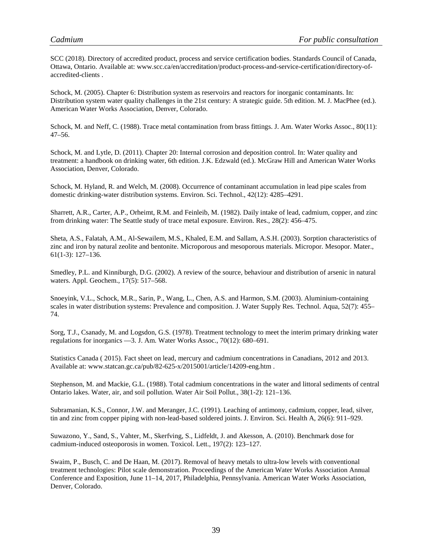SCC (2018). Directory of accredited product, process and service certification bodies. Standards Council of Canada, Ottawa, Ontario. Available at: www.scc.ca/en/accreditation/product-process-and-service-certification/directory-ofaccredited-clients .

Schock, M. (2005). Chapter 6: Distribution system as reservoirs and reactors for inorganic contaminants. In: Distribution system water quality challenges in the 21st century: A strategic guide. 5th edition. M. J. MacPhee (ed.). American Water Works Association, Denver, Colorado.

Schock, M. and Neff, C. (1988). Trace metal contamination from brass fittings. J. Am. Water Works Assoc., 80(11): 47–56.

Schock, M. and Lytle, D. (2011). Chapter 20: Internal corrosion and deposition control. In: Water quality and treatment: a handbook on drinking water, 6th edition. J.K. Edzwald (ed.). McGraw Hill and American Water Works Association, Denver, Colorado.

Schock, M. Hyland, R. and Welch, M. (2008). Occurrence of contaminant accumulation in lead pipe scales from domestic drinking-water distribution systems. Environ. Sci. Technol., 42(12): 4285–4291.

Sharrett, A.R., Carter, A.P., Orheimt, R.M. and Feinleib, M. (1982). Daily intake of lead, cadmium, copper, and zinc from drinking water: The Seattle study of trace metal exposure. Environ. Res., 28(2): 456–475.

Sheta, A.S., Falatah, A.M., Al-Sewailem, M.S., Khaled, E.M. and Sallam, A.S.H. (2003). Sorption characteristics of zinc and iron by natural zeolite and bentonite. Microporous and mesoporous materials. Micropor. Mesopor. Mater., 61(1-3): 127–136.

Smedley, P.L. and Kinniburgh, D.G. (2002). A review of the source, behaviour and distribution of arsenic in natural waters. Appl. Geochem., 17(5): 517–568.

Snoeyink, V.L., Schock, M.R., Sarin, P., Wang, L., Chen, A.S. and Harmon, S.M. (2003). Aluminium-containing scales in water distribution systems: Prevalence and composition. J. Water Supply Res. Technol. Aqua, 52(7): 455– 74.

Sorg, T.J., Csanady, M. and Logsdon, G.S. (1978). Treatment technology to meet the interim primary drinking water regulations for inorganics —3. J. Am. Water Works Assoc., 70(12): 680–691.

Statistics Canada ( 2015). Fact sheet on lead, mercury and cadmium concentrations in Canadians, 2012 and 2013. Available at: www.statcan.gc.ca/pub/82-625-x/2015001/article/14209-eng.htm .

Stephenson, M. and Mackie, G.L. (1988). Total cadmium concentrations in the water and littoral sediments of central Ontario lakes. Water, air, and soil pollution. Water Air Soil Pollut., 38(1-2): 121–136.

Subramanian, K.S., Connor, J.W. and Meranger, J.C. (1991). Leaching of antimony, cadmium, copper, lead, silver, tin and zinc from copper piping with non-lead-based soldered joints. J. Environ. Sci. Health A, 26(6): 911–929.

Suwazono, Y., Sand, S., Vahter, M., Skerfving, S., Lidfeldt, J. and Akesson, A. (2010). Benchmark dose for cadmium-induced osteoporosis in women. Toxicol. Lett., 197(2): 123–127.

Swaim, P., Busch, C. and De Haan, M. (2017). Removal of heavy metals to ultra-low levels with conventional treatment technologies: Pilot scale demonstration. Proceedings of the American Water Works Association Annual Conference and Exposition, June 11–14, 2017, Philadelphia, Pennsylvania. American Water Works Association, Denver, Colorado.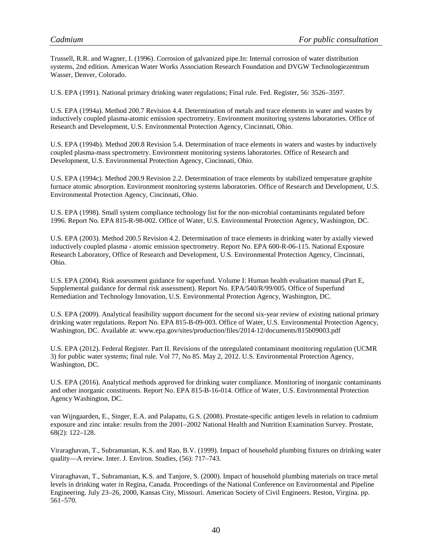Trussell, R.R. and Wagner, I. (1996). Corrosion of galvanized pipe.In: Internal corrosion of water distribution systems, 2nd edition. American Water Works Association Research Foundation and DVGW Technologiezentrum Wasser, Denver, Colorado.

U.S. EPA (1991). National primary drinking water regulations; Final rule. Fed. Register, 56: 3526–3597.

U.S. EPA (1994a). Method 200.7 Revision 4.4. Determination of metals and trace elements in water and wastes by inductively coupled plasma-atomic emission spectrometry. Environment monitoring systems laboratories. Office of Research and Development, U.S. Environmental Protection Agency, Cincinnati, Ohio.

U.S. EPA (1994b). Method 200.8 Revision 5.4. Determination of trace elements in waters and wastes by inductively coupled plasma-mass spectrometry. Environment monitoring systems laboratories. Office of Research and Development, U.S. Environmental Protection Agency, Cincinnati, Ohio.

U.S. EPA (1994c). Method 200.9 Revision 2.2. Determination of trace elements by stabilized temperature graphite furnace atomic absorption. Environment monitoring systems laboratories. Office of Research and Development, U.S. Environmental Protection Agency, Cincinnati, Ohio.

U.S. EPA (1998). Small system compliance technology list for the non-microbial contaminants regulated before 1996. Report No. EPA 815-R-98-002. Office of Water, U.S. Environmental Protection Agency, Washington, DC.

U.S. EPA (2003). Method 200.5 Revision 4.2. Determination of trace elements in drinking water by axially viewed inductively coupled plasma - atomic emission spectrometry. Report No. EPA 600-R-06-115. National Exposure Research Laboratory, Office of Research and Development, U.S. Environmental Protection Agency, Cincinnati, Ohio.

U.S. EPA (2004). Risk assessment guidance for superfund. Volume I: Human health evaluation manual (Part E, Supplemental guidance for dermal risk assessment). Report No. EPA/540/R/99/005. Office of Superfund Remediation and Technology Innovation, U.S. Environmental Protection Agency, Washington, DC.

U.S. EPA (2009). Analytical feasibility support document for the second six-year review of existing national primary drinking water regulations. Report No. EPA 815-B-09-003. Office of Water, U.S. Environmental Protection Agency, Washington, DC. Available at: www.epa.gov/sites/production/files/2014-12/documents/815b09003.pdf

U.S. EPA (2012). Federal Register. Part II. Revisions of the unregulated contaminant monitoring regulation (UCMR 3) for public water systems; final rule. Vol 77, No 85. May 2, 2012. U.S. Environmental Protection Agency, Washington, DC.

U.S. EPA (2016). Analytical methods approved for drinking water compliance. Monitoring of inorganic contaminants and other inorganic constituents. Report No. EPA 815-B-16-014. Office of Water, U.S. Environmental Protection Agency Washington, DC.

van Wijngaarden, E., Singer, E.A. and Palapattu, G.S. (2008). Prostate-specific antigen levels in relation to cadmium exposure and zinc intake: results from the 2001–2002 National Health and Nutrition Examination Survey. Prostate, 68(2): 122–128.

Viraraghavan, T., Subramanian, K.S. and Rao, B.V. (1999). Impact of household plumbing fixtures on drinking water quality—A review. Inter. J. Environ. Studies, (56): 717–743.

Viraraghavan, T., Subramanian, K.S. and Tanjore, S. (2000). Impact of household plumbing materials on trace metal levels in drinking water in Regina, Canada. Proceedings of the National Conference on Environmental and Pipeline Engineering. July 23–26, 2000, Kansas City, Missouri. American Society of Civil Engineers. Reston, Virgina. pp. 561–570.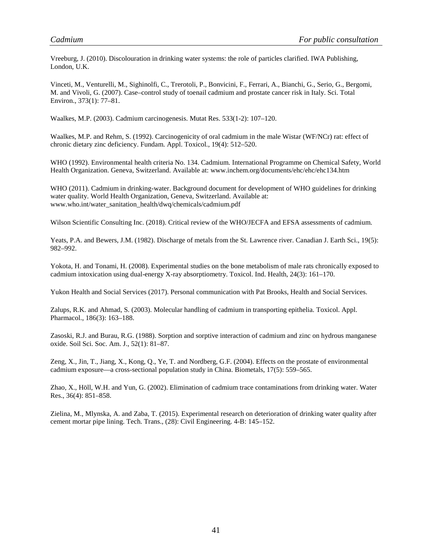Vreeburg, J. (2010). Discolouration in drinking water systems: the role of particles clarified. IWA Publishing, London, U.K.

Vinceti, M., Venturelli, M., Sighinolfi, C., Trerotoli, P., Bonvicini, F., Ferrari, A., Bianchi, G., Serio, G., Bergomi, M. and Vivoli, G. (2007). Case–control study of toenail cadmium and prostate cancer risk in Italy. Sci. Total Environ., 373(1): 77–81.

Waalkes, M.P. (2003). Cadmium carcinogenesis. Mutat Res. 533(1-2): 107–120.

Waalkes, M.P. and Rehm, S. (1992). Carcinogenicity of oral cadmium in the male Wistar (WF/NCr) rat: effect of chronic dietary zinc deficiency. Fundam. Appl. Toxicol., 19(4): 512–520.

WHO (1992). Environmental health criteria No. 134. Cadmium. International Programme on Chemical Safety, World Health Organization. Geneva, Switzerland. Available at: www.inchem.org/documents/ehc/ehc/ehc134.htm

WHO (2011). Cadmium in drinking-water. Background document for development of WHO guidelines for drinking water quality. World Health Organization, Geneva, Switzerland. Available at: www.who.int/water\_sanitation\_health/dwq/chemicals/cadmium.pdf

Wilson Scientific Consulting Inc. (2018). Critical review of the WHO/JECFA and EFSA assessments of cadmium.

Yeats, P.A. and Bewers, J.M. (1982). Discharge of metals from the St. Lawrence river. Canadian J. Earth Sci., 19(5): 982–992.

Yokota, H. and Tonami, H. (2008). Experimental studies on the bone metabolism of male rats chronically exposed to cadmium intoxication using dual-energy X-ray absorptiometry. Toxicol. Ind. Health, 24(3): 161–170.

Yukon Health and Social Services (2017). Personal communication with Pat Brooks, Health and Social Services.

Zalups, R.K. and Ahmad, S. (2003). Molecular handling of cadmium in transporting epithelia. Toxicol. Appl. Pharmacol., 186(3): 163–188.

Zasoski, R.J. and Burau, R.G. (1988). Sorption and sorptive interaction of cadmium and zinc on hydrous manganese oxide. Soil Sci. Soc. Am. J., 52(1): 81–87.

Zeng, X., Jin, T., Jiang, X., Kong, Q., Ye, T. and Nordberg, G.F. (2004). Effects on the prostate of environmental cadmium exposure—a cross-sectional population study in China. Biometals, 17(5): 559–565.

Zhao, X., Höll, W.H. and Yun, G. (2002). Elimination of cadmium trace contaminations from drinking water. Water Res., 36(4): 851–858.

Zielina, M., Mlynska, A. and Zaba, T. (2015). Experimental research on deterioration of drinking water quality after cement mortar pipe lining. Tech. Trans., (28): Civil Engineering. 4-B: 145–152.